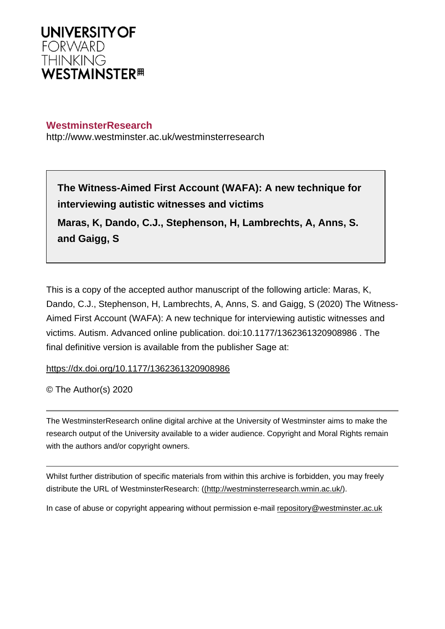

# **WestminsterResearch**

http://www.westminster.ac.uk/westminsterresearch

**The Witness-Aimed First Account (WAFA): A new technique for interviewing autistic witnesses and victims**

**Maras, K, Dando, C.J., Stephenson, H, Lambrechts, A, Anns, S. and Gaigg, S**

This is a copy of the accepted author manuscript of the following article: Maras, K, Dando, C.J., Stephenson, H, Lambrechts, A, Anns, S. and Gaigg, S (2020) The Witness-Aimed First Account (WAFA): A new technique for interviewing autistic witnesses and victims. Autism. Advanced online publication. doi:10.1177/1362361320908986 . The final definitive version is available from the publisher Sage at:

<https://dx.doi.org/10.1177/1362361320908986>

© The Author(s) 2020

The WestminsterResearch online digital archive at the University of Westminster aims to make the research output of the University available to a wider audience. Copyright and Moral Rights remain with the authors and/or copyright owners.

Whilst further distribution of specific materials from within this archive is forbidden, you may freely distribute the URL of WestminsterResearch: [\(\(http://westminsterresearch.wmin.ac.uk/](http://westminsterresearch.wmin.ac.uk/)).

In case of abuse or copyright appearing without permission e-mail <repository@westminster.ac.uk>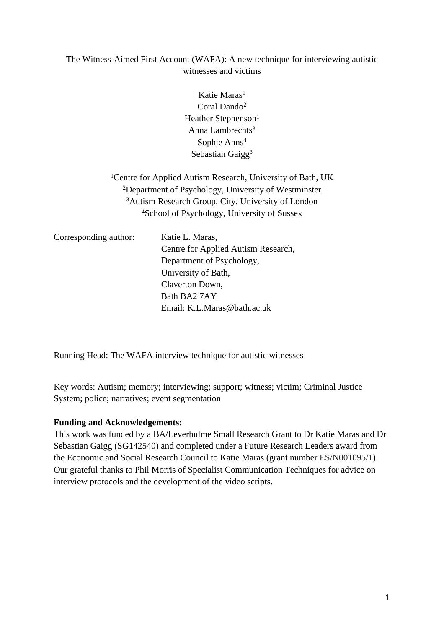# The Witness-Aimed First Account (WAFA): A new technique for interviewing autistic witnesses and victims

Katie Maras<sup>1</sup> Coral Dando<sup>2</sup> Heather Stephenson<sup>1</sup> Anna Lambrechts<sup>3</sup> Sophie Anns<sup>4</sup> Sebastian Gaigg<sup>3</sup>

Centre for Applied Autism Research, University of Bath, UK Department of Psychology, University of Westminster Autism Research Group, City, University of London School of Psychology, University of Sussex

| Corresponding author: | Katie L. Maras,                     |
|-----------------------|-------------------------------------|
|                       | Centre for Applied Autism Research, |
|                       | Department of Psychology,           |
|                       | University of Bath,                 |
|                       | Claverton Down,                     |
|                       | Bath BA2 7AY                        |
|                       | Email: K.L.Maras@bath.ac.uk         |
|                       |                                     |

Running Head: The WAFA interview technique for autistic witnesses

Key words: Autism; memory; interviewing; support; witness; victim; Criminal Justice System; police; narratives; event segmentation

# **Funding and Acknowledgements:**

This work was funded by a BA/Leverhulme Small Research Grant to Dr Katie Maras and Dr Sebastian Gaigg (SG142540) and completed under a Future Research Leaders award from the Economic and Social Research Council to Katie Maras (grant number ES/N001095/1). Our grateful thanks to Phil Morris of Specialist Communication Techniques for advice on interview protocols and the development of the video scripts.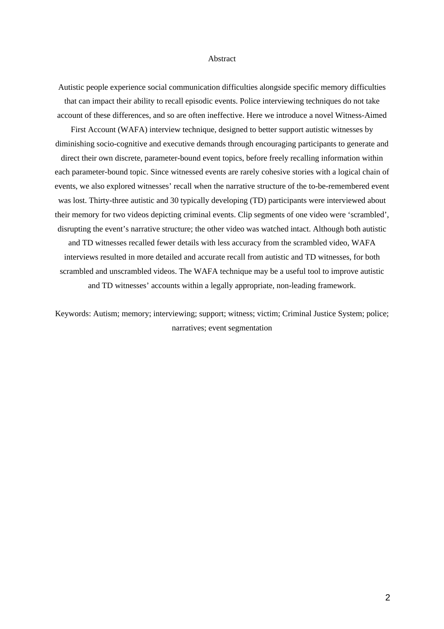#### Abstract

Autistic people experience social communication difficulties alongside specific memory difficulties that can impact their ability to recall episodic events. Police interviewing techniques do not take account of these differences, and so are often ineffective. Here we introduce a novel Witness-Aimed

First Account (WAFA) interview technique, designed to better support autistic witnesses by diminishing socio-cognitive and executive demands through encouraging participants to generate and direct their own discrete, parameter-bound event topics, before freely recalling information within each parameter-bound topic. Since witnessed events are rarely cohesive stories with a logical chain of events, we also explored witnesses' recall when the narrative structure of the to-be-remembered event was lost. Thirty-three autistic and 30 typically developing (TD) participants were interviewed about their memory for two videos depicting criminal events. Clip segments of one video were 'scrambled', disrupting the event's narrative structure; the other video was watched intact. Although both autistic and TD witnesses recalled fewer details with less accuracy from the scrambled video, WAFA interviews resulted in more detailed and accurate recall from autistic and TD witnesses, for both scrambled and unscrambled videos. The WAFA technique may be a useful tool to improve autistic and TD witnesses' accounts within a legally appropriate, non-leading framework.

Keywords: Autism; memory; interviewing; support; witness; victim; Criminal Justice System; police; narratives; event segmentation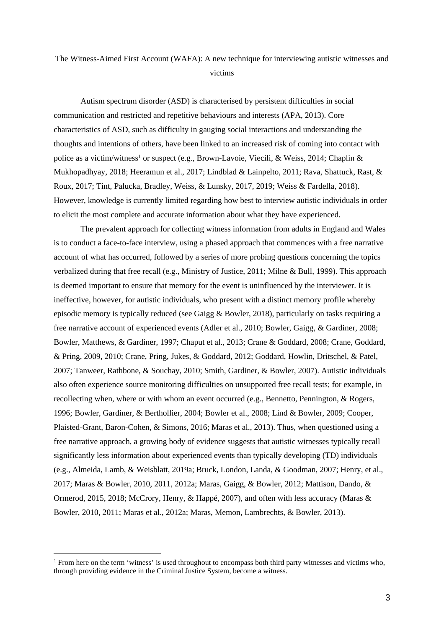# The Witness-Aimed First Account (WAFA): A new technique for interviewing autistic witnesses and victims

Autism spectrum disorder (ASD) is characterised by persistent difficulties in social communication and restricted and repetitive behaviours and interests (APA, 2013). Core characteristics of ASD, such as difficulty in gauging social interactions and understanding the thoughts and intentions of others, have been linked to an increased risk of coming into contact with police as a victim/witness<sup>1</sup> or suspect (e.g., Brown-Lavoie, Viecili, & Weiss, 2014; Chaplin & Mukhopadhyay, 2018; Heeramun et al., 2017; Lindblad & Lainpelto, 2011; Rava, Shattuck, Rast, & Roux, 2017; Tint, Palucka, Bradley, Weiss, & Lunsky, 2017, 2019; Weiss & Fardella, 2018). However, knowledge is currently limited regarding how best to interview autistic individuals in order to elicit the most complete and accurate information about what they have experienced.

The prevalent approach for collecting witness information from adults in England and Wales is to conduct a face-to-face interview, using a phased approach that commences with a free narrative account of what has occurred, followed by a series of more probing questions concerning the topics verbalized during that free recall (e.g., Ministry of Justice, 2011; Milne & Bull, 1999). This approach is deemed important to ensure that memory for the event is uninfluenced by the interviewer. It is ineffective, however, for autistic individuals, who present with a distinct memory profile whereby episodic memory is typically reduced (see Gaigg  $&$  Bowler, 2018), particularly on tasks requiring a free narrative account of experienced events (Adler et al., 2010; Bowler, Gaigg, & Gardiner, 2008; Bowler, Matthews, & Gardiner, 1997; Chaput et al., 2013; Crane & Goddard, 2008; Crane, Goddard, & Pring, 2009, 2010; Crane, Pring, Jukes, & Goddard, 2012; Goddard, Howlin, Dritschel, & Patel, 2007; Tanweer, Rathbone, & Souchay, 2010; Smith, Gardiner, & Bowler, 2007). Autistic individuals also often experience source monitoring difficulties on unsupported free recall tests; for example, in recollecting when, where or with whom an event occurred (e.g., Bennetto, Pennington, & Rogers, 1996; Bowler, Gardiner, & Berthollier, 2004; Bowler et al., 2008; Lind & Bowler, 2009; Cooper, Plaisted-Grant, Baron-Cohen, & Simons, 2016; Maras et al., 2013). Thus, when questioned using a free narrative approach, a growing body of evidence suggests that autistic witnesses typically recall significantly less information about experienced events than typically developing (TD) individuals (e.g., Almeida, Lamb, & Weisblatt, 2019a; Bruck, London, Landa, & Goodman, 2007; Henry, et al., 2017; Maras & Bowler, 2010, 2011, 2012a; Maras, Gaigg, & Bowler, 2012; Mattison, Dando, & Ormerod, 2015, 2018; McCrory, Henry, & Happé, 2007), and often with less accuracy (Maras & Bowler, 2010, 2011; Maras et al., 2012a; Maras, Memon, Lambrechts, & Bowler, 2013).

<sup>&</sup>lt;sup>1</sup> From here on the term 'witness' is used throughout to encompass both third party witnesses and victims who, through providing evidence in the Criminal Justice System, become a witness.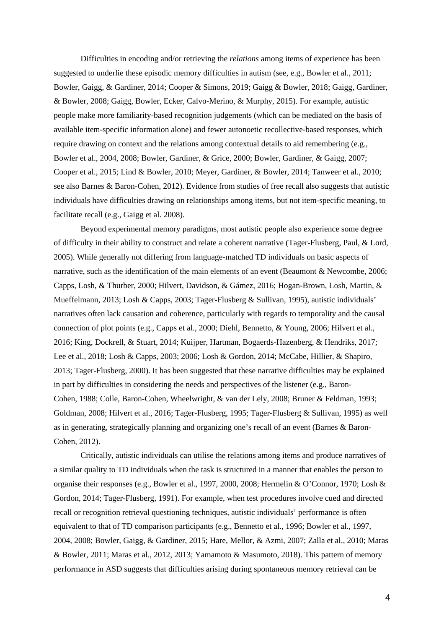Difficulties in encoding and/or retrieving the *relations* among items of experience has been suggested to underlie these episodic memory difficulties in autism (see, e.g., Bowler et al., 2011; Bowler, Gaigg, & Gardiner, 2014; Cooper & Simons, 2019; Gaigg & Bowler, 2018; Gaigg, Gardiner, & Bowler, 2008; Gaigg, Bowler, Ecker, Calvo-Merino, & Murphy, 2015). For example, autistic people make more familiarity-based recognition judgements (which can be mediated on the basis of available item-specific information alone) and fewer autonoetic recollective-based responses, which require drawing on context and the relations among contextual details to aid remembering (e.g., Bowler et al., 2004, 2008; Bowler, Gardiner, & Grice, 2000; Bowler, Gardiner, & Gaigg, 2007; Cooper et al., 2015; Lind & Bowler, 2010; Meyer, Gardiner, & Bowler, 2014; Tanweer et al., 2010; see also Barnes & Baron-Cohen, 2012). Evidence from studies of free recall also suggests that autistic individuals have difficulties drawing on relationships among items, but not item-specific meaning, to facilitate recall (e.g., Gaigg et al. 2008).

Beyond experimental memory paradigms, most autistic people also experience some degree of difficulty in their ability to construct and relate a coherent narrative (Tager-Flusberg, Paul, & Lord, 2005). While generally not differing from language-matched TD individuals on basic aspects of narrative, such as the identification of the main elements of an event (Beaumont & Newcombe, 2006; Capps, Losh, & Thurber, 2000; Hilvert, Davidson, & Gámez, 2016; Hogan-Brown, Losh, Martin, & Mueffelmann, 2013; Losh & Capps, 2003; Tager-Flusberg & Sullivan, 1995), autistic individuals' narratives often lack causation and coherence, particularly with regards to temporality and the causal connection of plot points (e.g., Capps et al., 2000; Diehl, Bennetto, & Young, 2006; Hilvert et al., 2016; King, Dockrell, & Stuart, 2014; Kuijper, Hartman, Bogaerds-Hazenberg, & Hendriks, 2017; Lee et al., 2018; Losh & Capps, 2003; 2006; Losh & Gordon, 2014; McCabe, Hillier, & Shapiro, 2013; Tager-Flusberg, 2000). It has been suggested that these narrative difficulties may be explained in part by difficulties in considering the needs and perspectives of the listener  $(e.g., Baron-$ Cohen, 1988; Colle, Baron-Cohen, Wheelwright, & van der Lely, 2008; Bruner & Feldman, 1993; Goldman, 2008; Hilvert et al., 2016; Tager-Flusberg, 1995; Tager-Flusberg & Sullivan, 1995) as well as in generating, strategically planning and organizing one's recall of an event (Barnes & Baron-Cohen, 2012).

Critically, autistic individuals can utilise the relations among items and produce narratives of a similar quality to TD individuals when the task is structured in a manner that enables the person to organise their responses (e.g., Bowler et al., 1997, 2000, 2008; Hermelin & O'Connor, 1970; Losh & Gordon, 2014; Tager-Flusberg, 1991). For example, when test procedures involve cued and directed recall or recognition retrieval questioning techniques, autistic individuals' performance is often equivalent to that of TD comparison participants (e.g., Bennetto et al., 1996; Bowler et al., 1997, 2004, 2008; Bowler, Gaigg, & Gardiner, 2015; Hare, Mellor, & Azmi, 2007; Zalla et al., 2010; Maras & Bowler, 2011; Maras et al., 2012, 2013; Yamamoto & Masumoto, 2018). This pattern of memory performance in ASD suggests that difficulties arising during spontaneous memory retrieval can be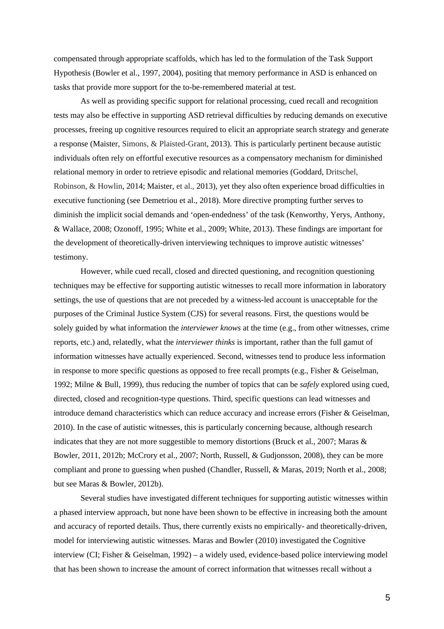compensated through appropriate scaffolds, which has led to the formulation of the Task Support Hypothesis (Bowler et al., 1997, 2004), positing that memory performance in ASD is enhanced on tasks that provide more support for the to-be-remembered material at test.

As well as providing specific support for relational processing, cued recall and recognition tests may also be effective in supporting ASD retrieval difficulties by reducing demands on executive processes, freeing up cognitive resources required to elicit an appropriate search strategy and generate a response (Maister, Simons, & Plaisted-Grant, 2013). This is particularly pertinent because autistic individuals often rely on effortful executive resources as a compensatory mechanism for diminished relational memory in order to retrieve episodic and relational memories (Goddard, Dritschel, Robinson, & Howlin, 2014; Maister, et al., 2013), yet they also often experience broad difficulties in executive functioning (see Demetriou et al., 2018). More directive prompting further serves to diminish the implicit social demands and 'open-endedness' of the task (Kenworthy, Yerys, Anthony, & Wallace, 2008; Ozonoff, 1995; White et al., 2009; White, 2013). These findings are important for the development of theoretically-driven interviewing techniques to improve autistic witnesses' testimony.

However, while cued recall, closed and directed questioning, and recognition questioning techniques may be effective for supporting autistic witnesses to recall more information in laboratory settings, the use of questions that are not preceded by a witness-led account is unacceptable for the purposes of the Criminal Justice System (CJS) for several reasons. First, the questions would be solely guided by what information the *interviewer knows* at the time (e.g., from other witnesses, crime reports, etc.) and, relatedly, what the *interviewer thinks* is important, rather than the full gamut of information witnesses have actually experienced. Second, witnesses tend to produce less information in response to more specific questions as opposed to free recall prompts (e.g., Fisher & Geiselman, 1992; Milne & Bull, 1999), thus reducing the number of topics that can be *safely* explored using cued, directed, closed and recognition-type questions. Third, specific questions can lead witnesses and introduce demand characteristics which can reduce accuracy and increase errors (Fisher & Geiselman, 2010). In the case of autistic witnesses, this is particularly concerning because, although research indicates that they are not more suggestible to memory distortions (Bruck et al., 2007; Maras  $\&$ Bowler, 2011, 2012b; McCrory et al., 2007; North, Russell, & Gudjonsson, 2008), they can be more compliant and prone to guessing when pushed (Chandler, Russell, & Maras, 2019; North et al., 2008; but see Maras & Bowler, 2012b).

Several studies have investigated different techniques for supporting autistic witnesses within a phased interview approach, but none have been shown to be effective in increasing both the amount and accuracy of reported details. Thus, there currently exists no empirically- and theoretically-driven, model for interviewing autistic witnesses. Maras and Bowler (2010) investigated the Cognitive interview (CI; Fisher & Geiselman, 1992) – a widely used, evidence-based police interviewing model that has been shown to increase the amount of correct information that witnesses recall without a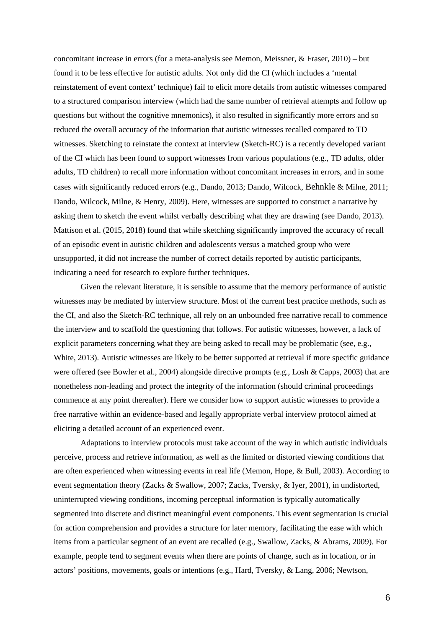concomitant increase in errors (for a meta-analysis see Memon, Meissner, & Fraser, 2010) – but found it to be less effective for autistic adults. Not only did the CI (which includes a 'mental reinstatement of event context' technique) fail to elicit more details from autistic witnesses compared to a structured comparison interview (which had the same number of retrieval attempts and follow up questions but without the cognitive mnemonics), it also resulted in significantly more errors and so reduced the overall accuracy of the information that autistic witnesses recalled compared to TD witnesses. Sketching to reinstate the context at interview (Sketch-RC) is a recently developed variant of the CI which has been found to support witnesses from various populations (e.g., TD adults, older adults, TD children) to recall more information without concomitant increases in errors, and in some cases with significantly reduced errors (e.g., Dando, 2013; Dando, Wilcock, Behnkle & Milne, 2011; Dando, Wilcock, Milne, & Henry, 2009). Here, witnesses are supported to construct a narrative by asking them to sketch the event whilst verbally describing what they are drawing (see Dando, 2013). Mattison et al. (2015, 2018) found that while sketching significantly improved the accuracy of recall of an episodic event in autistic children and adolescents versus a matched group who were unsupported, it did not increase the number of correct details reported by autistic participants, indicating a need for research to explore further techniques.

Given the relevant literature, it is sensible to assume that the memory performance of autistic witnesses may be mediated by interview structure. Most of the current best practice methods, such as the CI, and also the Sketch-RC technique, all rely on an unbounded free narrative recall to commence the interview and to scaffold the questioning that follows. For autistic witnesses, however, a lack of explicit parameters concerning what they are being asked to recall may be problematic (see, e.g., White, 2013). Autistic witnesses are likely to be better supported at retrieval if more specific guidance were offered (see Bowler et al., 2004) alongside directive prompts (e.g., Losh & Capps, 2003) that are nonetheless non-leading and protect the integrity of the information (should criminal proceedings commence at any point thereafter). Here we consider how to support autistic witnesses to provide a free narrative within an evidence-based and legally appropriate verbal interview protocol aimed at eliciting a detailed account of an experienced event.

Adaptations to interview protocols must take account of the way in which autistic individuals perceive, process and retrieve information, as well as the limited or distorted viewing conditions that are often experienced when witnessing events in real life (Memon, Hope, & Bull, 2003). According to event segmentation theory (Zacks & Swallow, 2007; Zacks, Tversky, & Iyer, 2001), in undistorted, uninterrupted viewing conditions, incoming perceptual information is typically automatically segmented into discrete and distinct meaningful event components. This event segmentation is crucial for action comprehension and provides a structure for later memory, facilitating the ease with which items from a particular segment of an event are recalled (e.g., Swallow, Zacks, & Abrams, 2009). For example, people tend to segment events when there are points of change, such as in location, or in actors' positions, movements, goals or intentions (e.g., Hard, Tversky, & Lang, 2006; Newtson,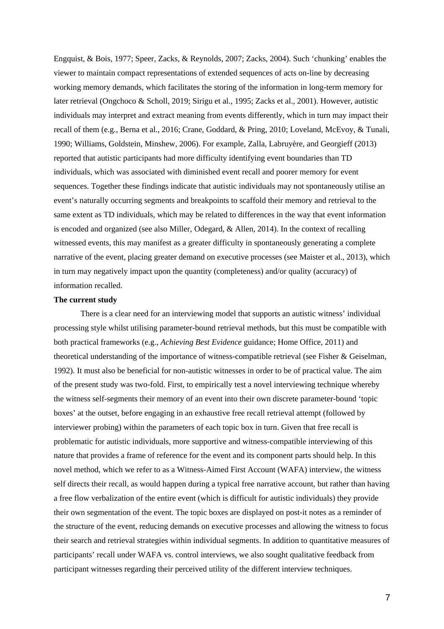Engquist, & Bois, 1977; Speer, Zacks, & Reynolds, 2007; Zacks, 2004). Such 'chunking' enables the viewer to maintain compact representations of extended sequences of acts on-line by decreasing working memory demands, which facilitates the storing of the information in long-term memory for later retrieval (Ongchoco & Scholl, 2019; Sirigu et al., 1995; Zacks et al., 2001). However, autistic individuals may interpret and extract meaning from events differently, which in turn may impact their recall of them (e.g., Berna et al., 2016; Crane, Goddard, & Pring, 2010; Loveland, McEvoy, & Tunali, 1990; Williams, Goldstein, Minshew, 2006). For example, Zalla, Labruyère, and Georgieff (2013) reported that autistic participants had more difficulty identifying event boundaries than TD individuals, which was associated with diminished event recall and poorer memory for event sequences. Together these findings indicate that autistic individuals may not spontaneously utilise an event's naturally occurring segments and breakpoints to scaffold their memory and retrieval to the same extent as TD individuals, which may be related to differences in the way that event information is encoded and organized (see also Miller, Odegard, & Allen, 2014). In the context of recalling witnessed events, this may manifest as a greater difficulty in spontaneously generating a complete narrative of the event, placing greater demand on executive processes (see Maister et al., 2013), which in turn may negatively impact upon the quantity (completeness) and/or quality (accuracy) of information recalled.

#### **The current study**

There is a clear need for an interviewing model that supports an autistic witness' individual processing style whilst utilising parameter-bound retrieval methods, but this must be compatible with both practical frameworks (e.g., *Achieving Best Evidence* guidance; Home Office, 2011) and theoretical understanding of the importance of witness-compatible retrieval (see Fisher & Geiselman, 1992). It must also be beneficial for non-autistic witnesses in order to be of practical value. The aim of the present study was two-fold. First, to empirically test a novel interviewing technique whereby the witness self-segments their memory of an event into their own discrete parameter-bound 'topic boxes' at the outset, before engaging in an exhaustive free recall retrieval attempt (followed by interviewer probing) within the parameters of each topic box in turn. Given that free recall is problematic for autistic individuals, more supportive and witness-compatible interviewing of this nature that provides a frame of reference for the event and its component parts should help. In this novel method, which we refer to as a Witness-Aimed First Account (WAFA) interview, the witness self directs their recall, as would happen during a typical free narrative account, but rather than having a free flow verbalization of the entire event (which is difficult for autistic individuals) they provide their own segmentation of the event. The topic boxes are displayed on post-it notes as a reminder of the structure of the event, reducing demands on executive processes and allowing the witness to focus their search and retrieval strategies within individual segments. In addition to quantitative measures of participants' recall under WAFA vs. control interviews, we also sought qualitative feedback from participant witnesses regarding their perceived utility of the different interview techniques.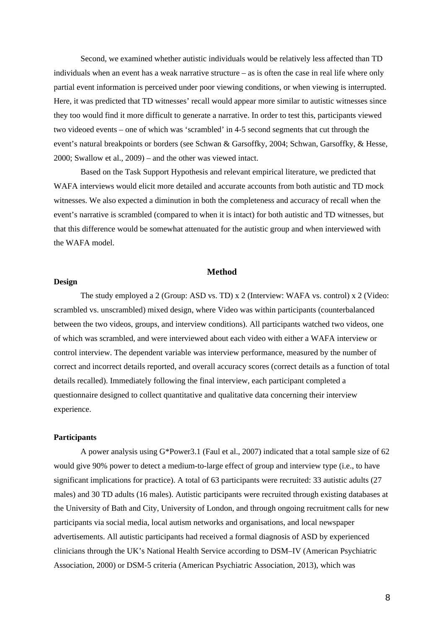Second, we examined whether autistic individuals would be relatively less affected than TD individuals when an event has a weak narrative structure – as is often the case in real life where only partial event information is perceived under poor viewing conditions, or when viewing is interrupted. Here, it was predicted that TD witnesses' recall would appear more similar to autistic witnesses since they too would find it more difficult to generate a narrative. In order to test this, participants viewed two videoed events – one of which was 'scrambled' in 4-5 second segments that cut through the event's natural breakpoints or borders (see Schwan & Garsoffky, 2004; Schwan, Garsoffky, & Hesse, 2000; Swallow et al., 2009) – and the other was viewed intact.

Based on the Task Support Hypothesis and relevant empirical literature, we predicted that WAFA interviews would elicit more detailed and accurate accounts from both autistic and TD mock witnesses. We also expected a diminution in both the completeness and accuracy of recall when the event's narrative is scrambled (compared to when it is intact) for both autistic and TD witnesses, but that this difference would be somewhat attenuated for the autistic group and when interviewed with the WAFA model.

#### **Method**

#### **Design**

The study employed a 2 (Group: ASD vs. TD) x 2 (Interview: WAFA vs. control) x 2 (Video: scrambled vs. unscrambled) mixed design, where Video was within participants (counterbalanced between the two videos, groups, and interview conditions). All participants watched two videos, one of which was scrambled, and were interviewed about each video with either a WAFA interview or control interview. The dependent variable was interview performance, measured by the number of correct and incorrect details reported, and overall accuracy scores (correct details as a function of total details recalled). Immediately following the final interview, each participant completed a questionnaire designed to collect quantitative and qualitative data concerning their interview experience.

## **Participants**

A power analysis using G\*Power3.1 (Faul et al., 2007) indicated that a total sample size of 62 would give 90% power to detect a medium-to-large effect of group and interview type (i.e., to have significant implications for practice). A total of 63 participants were recruited: 33 autistic adults (27 males) and 30 TD adults (16 males). Autistic participants were recruited through existing databases at the University of Bath and City, University of London, and through ongoing recruitment calls for new participants via social media, local autism networks and organisations, and local newspaper advertisements. All autistic participants had received a formal diagnosis of ASD by experienced clinicians through the UK's National Health Service according to DSM–IV (American Psychiatric Association, 2000) or DSM-5 criteria (American Psychiatric Association, 2013), which was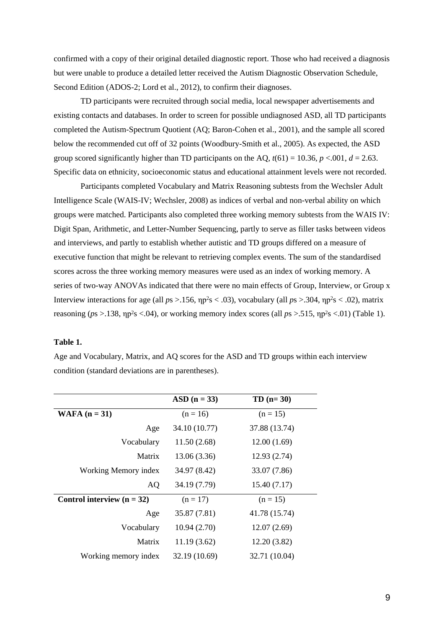confirmed with a copy of their original detailed diagnostic report. Those who had received a diagnosis but were unable to produce a detailed letter received the Autism Diagnostic Observation Schedule, Second Edition (ADOS-2; Lord et al., 2012), to confirm their diagnoses.

TD participants were recruited through social media, local newspaper advertisements and existing contacts and databases. In order to screen for possible undiagnosed ASD, all TD participants completed the Autism-Spectrum Quotient (AQ; Baron-Cohen et al., 2001), and the sample all scored below the recommended cut off of 32 points (Woodbury-Smith et al., 2005). As expected, the ASD group scored significantly higher than TD participants on the AQ,  $t(61) = 10.36$ ,  $p < .001$ ,  $d = 2.63$ . Specific data on ethnicity, socioeconomic status and educational attainment levels were not recorded.

Participants completed Vocabulary and Matrix Reasoning subtests from the Wechsler Adult Intelligence Scale (WAIS-IV; Wechsler, 2008) as indices of verbal and non-verbal ability on which groups were matched. Participants also completed three working memory subtests from the WAIS IV: Digit Span, Arithmetic, and Letter-Number Sequencing, partly to serve as filler tasks between videos and interviews, and partly to establish whether autistic and TD groups differed on a measure of executive function that might be relevant to retrieving complex events. The sum of the standardised scores across the three working memory measures were used as an index of working memory. A series of two-way ANOVAs indicated that there were no main effects of Group, Interview, or Group x Interview interactions for age (all  $ps > 0.156$ ,  $np^2s < 0.03$ ), vocabulary (all  $ps > 0.304$ ,  $np^2s < 0.02$ ), matrix reasoning ( $ps > 138$ ,  $np^2s < 04$ ), or working memory index scores (all  $ps > 515$ ,  $np^2s < 01$ ) (Table 1).

### **Table 1.**

Age and Vocabulary, Matrix, and AQ scores for the ASD and TD groups within each interview condition (standard deviations are in parentheses).

|                              | $ASD (n = 33)$ | TD $(n=30)$   |
|------------------------------|----------------|---------------|
| WAFA $(n = 31)$              | $(n = 16)$     | $(n = 15)$    |
| Age                          | 34.10 (10.77)  | 37.88 (13.74) |
| Vocabulary                   | 11.50(2.68)    | 12.00(1.69)   |
| Matrix                       | 13.06(3.36)    | 12.93(2.74)   |
| Working Memory index         | 34.97 (8.42)   | 33.07 (7.86)  |
| AQ                           | 34.19 (7.79)   | 15.40(7.17)   |
| Control interview $(n = 32)$ | $(n = 17)$     | $(n = 15)$    |
| Age                          | 35.87 (7.81)   | 41.78 (15.74) |
| Vocabulary                   | 10.94(2.70)    | 12.07(2.69)   |
| Matrix                       | 11.19(3.62)    | 12.20(3.82)   |
| Working memory index         | 32.19 (10.69)  | 32.71 (10.04) |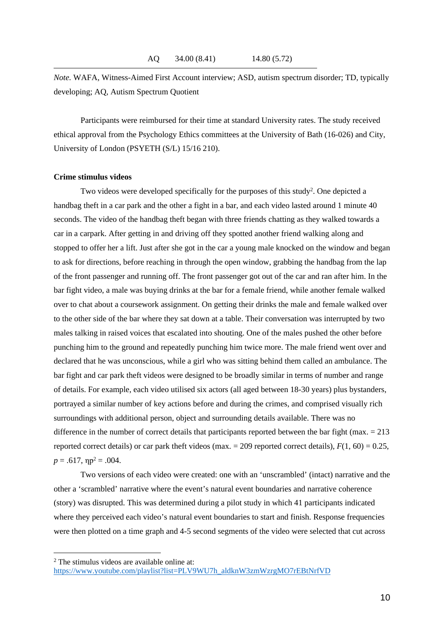*Note.* WAFA*,* Witness-Aimed First Account interview; ASD, autism spectrum disorder; TD, typically developing; AQ, Autism Spectrum Quotient

Participants were reimbursed for their time at standard University rates. The study received ethical approval from the Psychology Ethics committees at the University of Bath (16-026) and City, University of London (PSYETH (S/L) 15/16 210).

#### **Crime stimulus videos**

Two videos were developed specifically for the purposes of this study<sup>2</sup>. One depicted a handbag theft in a car park and the other a fight in a bar, and each video lasted around 1 minute 40 seconds. The video of the handbag theft began with three friends chatting as they walked towards a car in a carpark. After getting in and driving off they spotted another friend walking along and stopped to offer her a lift. Just after she got in the car a young male knocked on the window and began to ask for directions, before reaching in through the open window, grabbing the handbag from the lap of the front passenger and running off. The front passenger got out of the car and ran after him. In the bar fight video, a male was buying drinks at the bar for a female friend, while another female walked over to chat about a coursework assignment. On getting their drinks the male and female walked over to the other side of the bar where they sat down at a table. Their conversation was interrupted by two males talking in raised voices that escalated into shouting. One of the males pushed the other before punching him to the ground and repeatedly punching him twice more. The male friend went over and declared that he was unconscious, while a girl who was sitting behind them called an ambulance. The bar fight and car park theft videos were designed to be broadly similar in terms of number and range of details. For example, each video utilised six actors (all aged between 18-30 years) plus bystanders, portrayed a similar number of key actions before and during the crimes, and comprised visually rich surroundings with additional person, object and surrounding details available. There was no difference in the number of correct details that participants reported between the bar fight (max.  $= 213$ ) reported correct details) or car park theft videos (max.  $= 209$  reported correct details),  $F(1, 60) = 0.25$ ,  $p = .617$ ,  $np^2 = .004$ .

Two versions of each video were created: one with an 'unscrambled' (intact) narrative and the other a 'scrambled' narrative where the event's natural event boundaries and narrative coherence (story) was disrupted. This was determined during a pilot study in which 41 participants indicated where they perceived each video's natural event boundaries to start and finish. Response frequencies were then plotted on a time graph and 4-5 second segments of the video were selected that cut across

<sup>2</sup> The stimulus videos are available online at: [https://www.youtube.com/playlist?list=PLV9WU7h\\_aldknW3zmWzrgMO7rEBtNrfVD](https://www.youtube.com/playlist?list=PLV9WU7h_aldknW3zmWzrgMO7rEBtNrfVD)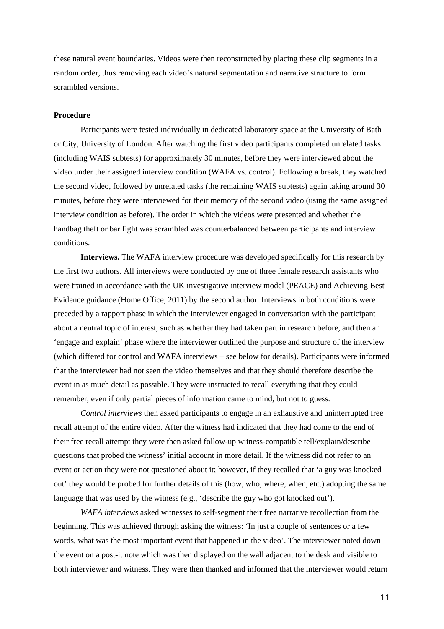these natural event boundaries. Videos were then reconstructed by placing these clip segments in a random order, thus removing each video's natural segmentation and narrative structure to form scrambled versions.

#### **Procedure**

Participants were tested individually in dedicated laboratory space at the University of Bath or City, University of London. After watching the first video participants completed unrelated tasks (including WAIS subtests) for approximately 30 minutes, before they were interviewed about the video under their assigned interview condition (WAFA vs. control). Following a break, they watched the second video, followed by unrelated tasks (the remaining WAIS subtests) again taking around 30 minutes, before they were interviewed for their memory of the second video (using the same assigned interview condition as before). The order in which the videos were presented and whether the handbag theft or bar fight was scrambled was counterbalanced between participants and interview conditions.

**Interviews.** The WAFA interview procedure was developed specifically for this research by the first two authors. All interviews were conducted by one of three female research assistants who were trained in accordance with the UK investigative interview model (PEACE) and Achieving Best Evidence guidance (Home Office, 2011) by the second author. Interviews in both conditions were preceded by a rapport phase in which the interviewer engaged in conversation with the participant about a neutral topic of interest, such as whether they had taken part in research before, and then an 'engage and explain' phase where the interviewer outlined the purpose and structure of the interview (which differed for control and WAFA interviews – see below for details). Participants were informed that the interviewer had not seen the video themselves and that they should therefore describe the event in as much detail as possible. They were instructed to recall everything that they could remember, even if only partial pieces of information came to mind, but not to guess.

*Control interviews* then asked participants to engage in an exhaustive and uninterrupted free recall attempt of the entire video. After the witness had indicated that they had come to the end of their free recall attempt they were then asked follow-up witness-compatible tell/explain/describe questions that probed the witness' initial account in more detail. If the witness did not refer to an event or action they were not questioned about it; however, if they recalled that 'a guy was knocked out' they would be probed for further details of this (how, who, where, when, etc.) adopting the same language that was used by the witness (e.g., 'describe the guy who got knocked out').

*WAFA interviews* asked witnesses to self-segment their free narrative recollection from the beginning. This was achieved through asking the witness: 'In just a couple of sentences or a few words, what was the most important event that happened in the video'. The interviewer noted down the event on a post-it note which was then displayed on the wall adjacent to the desk and visible to both interviewer and witness. They were then thanked and informed that the interviewer would return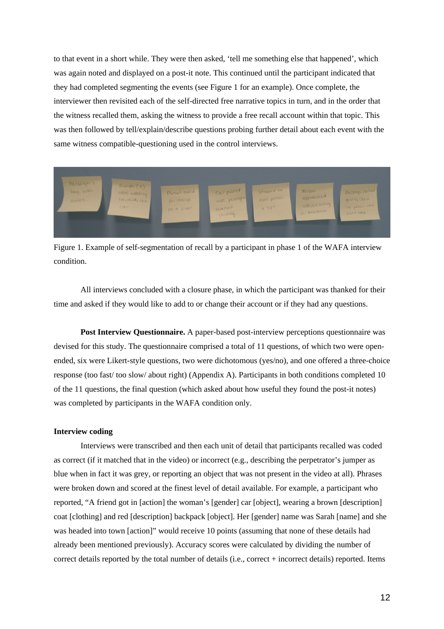to that event in a short while. They were then asked, 'tell me something else that happened', which was again noted and displayed on a post-it note. This continued until the participant indicated that they had completed segmenting the events (see Figure 1 for an example). Once complete, the interviewer then revisited each of the self-directed free narrative topics in turn, and in the order that the witness recalled them, asking the witness to provide a free recall account within that topic. This was then followed by tell/explain/describe questions probing further detail about each event with the same witness compatible-questioning used in the control interviews.



Figure 1. Example of self-segmentation of recall by a participant in phase 1 of the WAFA interview condition.

All interviews concluded with a closure phase, in which the participant was thanked for their time and asked if they would like to add to or change their account or if they had any questions.

**Post Interview Questionnaire.** A paper-based post-interview perceptions questionnaire was devised for this study. The questionnaire comprised a total of 11 questions, of which two were openended, six were Likert-style questions, two were dichotomous (yes/no), and one offered a three-choice response (too fast/ too slow/ about right) (Appendix A). Participants in both conditions completed 10 of the 11 questions, the final question (which asked about how useful they found the post-it notes) was completed by participants in the WAFA condition only.

#### **Interview coding**

Interviews were transcribed and then each unit of detail that participants recalled was coded as correct (if it matched that in the video) or incorrect (e.g., describing the perpetrator's jumper as blue when in fact it was grey, or reporting an object that was not present in the video at all). Phrases were broken down and scored at the finest level of detail available. For example, a participant who reported, "A friend got in [action] the woman's [gender] car [object], wearing a brown [description] coat [clothing] and red [description] backpack [object]. Her [gender] name was Sarah [name] and she was headed into town [action]" would receive 10 points (assuming that none of these details had already been mentioned previously). Accuracy scores were calculated by dividing the number of correct details reported by the total number of details (i.e., correct + incorrect details) reported. Items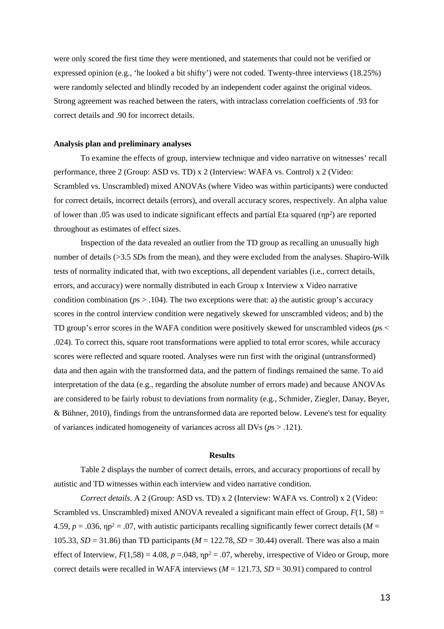were only scored the first time they were mentioned, and statements that could not be verified or expressed opinion (e.g., 'he looked a bit shifty') were not coded. Twenty-three interviews (18.25%) were randomly selected and blindly recoded by an independent coder against the original videos. Strong agreement was reached between the raters, with intraclass correlation coefficients of .93 for correct details and .90 for incorrect details.

### **Analysis plan and preliminary analyses**

To examine the effects of group, interview technique and video narrative on witnesses' recall performance, three 2 (Group: ASD vs. TD) x 2 (Interview: WAFA vs. Control) x 2 (Video: Scrambled vs. Unscrambled) mixed ANOVAs (where Video was within participants) were conducted for correct details, incorrect details (errors), and overall accuracy scores, respectively. An alpha value of lower than .05 was used to indicate significant effects and partial Eta squared (ηp<sup>2</sup>) are reported throughout as estimates of effect sizes.

Inspection of the data revealed an outlier from the TD group as recalling an unusually high number of details (>3.5 *SD*s from the mean), and they were excluded from the analyses. Shapiro-Wilk tests of normality indicated that, with two exceptions, all dependent variables (i.e., correct details, errors, and accuracy) were normally distributed in each Group x Interview x Video narrative condition combination ( $p_s$  > .104). The two exceptions were that: a) the autistic group's accuracy scores in the control interview condition were negatively skewed for unscrambled videos; and b) the TD group's error scores in the WAFA condition were positively skewed for unscrambled videos (*p*s < .024). To correct this, square root transformations were applied to total error scores, while accuracy scores were reflected and square rooted. Analyses were run first with the original (untransformed) data and then again with the transformed data, and the pattern of findings remained the same. To aid interpretation of the data (e.g., regarding the absolute number of errors made) and because ANOVAs are considered to be fairly robust to deviations from normality (e.g., Schmider, Ziegler, Danay, Beyer, & Bühner, 2010), findings from the untransformed data are reported below. Levene's test for equality of variances indicated homogeneity of variances across all DVs (*p*s > .121).

### **Results**

Table 2 displays the number of correct details, errors, and accuracy proportions of recall by autistic and TD witnesses within each interview and video narrative condition.

*Correct details.* A 2 (Group: ASD vs. TD) x 2 (Interview: WAFA vs. Control) x 2 (Video: Scrambled vs. Unscrambled) mixed ANOVA revealed a significant main effect of Group, *F*(1, 58) = 4.59,  $p = .036$ ,  $np^2 = .07$ , with autistic participants recalling significantly fewer correct details ( $M =$ 105.33, *SD* = 31.86) than TD participants (*M* = 122.78, *SD* = 30.44) overall. There was also a main effect of Interview,  $F(1,58) = 4.08$ ,  $p = 0.048$ ,  $np^2 = 0.07$ , whereby, irrespective of Video or Group, more correct details were recalled in WAFA interviews (*M* = 121.73, *SD* = 30.91) compared to control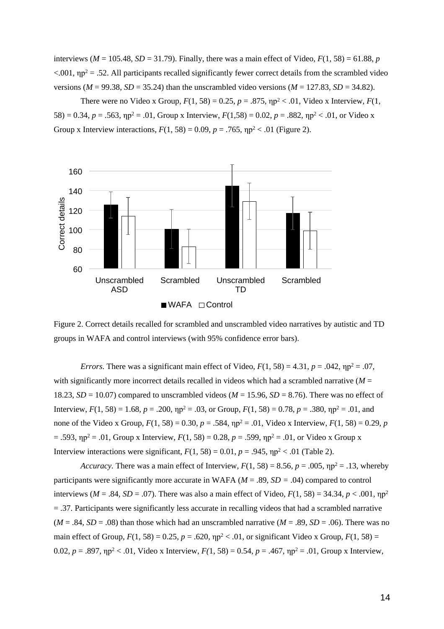interviews ( $M = 105.48$ ,  $SD = 31.79$ ). Finally, there was a main effect of Video,  $F(1, 58) = 61.88$ , *p*  $\leq$ .001,  $np^2$  = .52. All participants recalled significantly fewer correct details from the scrambled video versions ( $M = 99.38$ ,  $SD = 35.24$ ) than the unscrambled video versions ( $M = 127.83$ ,  $SD = 34.82$ ).

There were no Video x Group,  $F(1, 58) = 0.25$ ,  $p = .875$ ,  $np^2 < .01$ , Video x Interview,  $F(1,$ 58) = 0.34,  $p = .563$ ,  $np^2 = .01$ , Group x Interview,  $F(1,58) = 0.02$ ,  $p = .882$ ,  $np^2 < .01$ , or Video x Group x Interview interactions,  $F(1, 58) = 0.09$ ,  $p = .765$ ,  $np^2 < .01$  (Figure 2).



Figure 2. Correct details recalled for scrambled and unscrambled video narratives by autistic and TD groups in WAFA and control interviews (with 95% confidence error bars).

*Errors*. There was a significant main effect of Video,  $F(1, 58) = 4.31$ ,  $p = .042$ ,  $np^2 = .07$ , with significantly more incorrect details recalled in videos which had a scrambled narrative  $(M =$ 18.23,  $SD = 10.07$ ) compared to unscrambled videos ( $M = 15.96$ ,  $SD = 8.76$ ). There was no effect of Interview,  $F(1, 58) = 1.68$ ,  $p = .200$ ,  $np^2 = .03$ , or Group,  $F(1, 58) = 0.78$ ,  $p = .380$ ,  $np^2 = .01$ , and none of the Video x Group,  $F(1, 58) = 0.30$ ,  $p = .584$ ,  $np^2 = .01$ , Video x Interview,  $F(1, 58) = 0.29$ ,  $p = 0.29$  $= .593$ ,  $np^2 = .01$ , Group x Interview,  $F(1, 58) = 0.28$ ,  $p = .599$ ,  $np^2 = .01$ , or Video x Group x Interview interactions were significant,  $F(1, 58) = 0.01$ ,  $p = .945$ ,  $np^2 < .01$  (Table 2).

*Accuracy.* There was a main effect of Interview,  $F(1, 58) = 8.56$ ,  $p = .005$ ,  $np^2 = .13$ , whereby participants were significantly more accurate in WAFA (*M* = .89, *SD =* .04) compared to control interviews ( $M = .84$ ,  $SD = .07$ ). There was also a main effect of Video,  $F(1, 58) = 34.34$ ,  $p < .001$ , np<sup>2</sup>  $=$  .37. Participants were significantly less accurate in recalling videos that had a scrambled narrative  $(M = .84, SD = .08)$  than those which had an unscrambled narrative  $(M = .89, SD = .06)$ . There was no main effect of Group,  $F(1, 58) = 0.25$ ,  $p = .620$ ,  $np^2 < .01$ , or significant Video x Group,  $F(1, 58) =$ 0.02,  $p = .897$ ,  $\eta p^2 < .01$ , Video x Interview,  $F(1, 58) = 0.54$ ,  $p = .467$ ,  $\eta p^2 = .01$ , Group x Interview,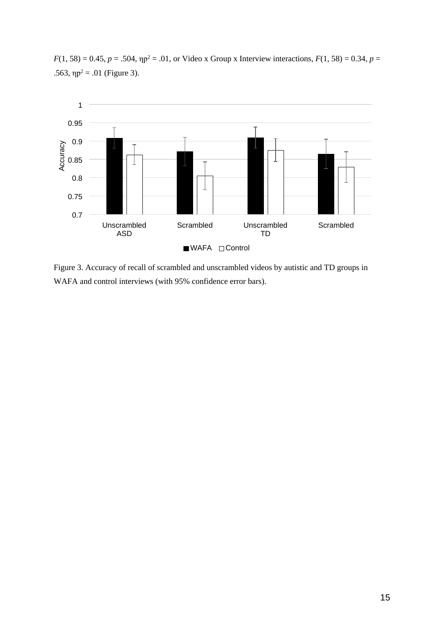

 $F(1, 58) = 0.45$ ,  $p = .504$ ,  $np^2 = .01$ , or Video x Group x Interview interactions,  $F(1, 58) = 0.34$ ,  $p =$ .563,  $np^2 = .01$  (Figure 3).

Figure 3. Accuracy of recall of scrambled and unscrambled videos by autistic and TD groups in WAFA and control interviews (with 95% confidence error bars).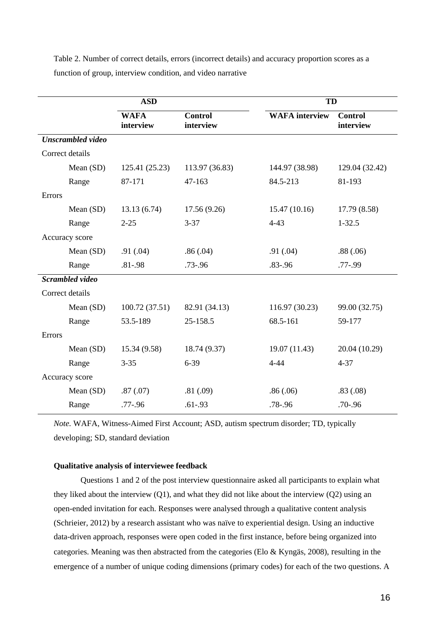|                   | <b>ASD</b>               |                             | TD                    |                             |
|-------------------|--------------------------|-----------------------------|-----------------------|-----------------------------|
|                   | <b>WAFA</b><br>interview | <b>Control</b><br>interview | <b>WAFA</b> interview | <b>Control</b><br>interview |
| Unscrambled video |                          |                             |                       |                             |
| Correct details   |                          |                             |                       |                             |
| Mean (SD)         | 125.41 (25.23)           | 113.97 (36.83)              | 144.97 (38.98)        | 129.04 (32.42)              |
| Range             | 87-171                   | 47-163                      | 84.5-213              | 81-193                      |
| Errors            |                          |                             |                       |                             |
| Mean (SD)         | 13.13(6.74)              | 17.56(9.26)                 | 15.47(10.16)          | 17.79 (8.58)                |
| Range             | $2 - 25$                 | $3 - 37$                    | $4 - 43$              | $1 - 32.5$                  |
| Accuracy score    |                          |                             |                       |                             |
| Mean (SD)         | .91(.04)                 | .86(.04)                    | .91(.04)              | .88(.06)                    |
| Range             | $.81 - .98$              | $.73 - .96$                 | $.83 - .96$           | $.77 - .99$                 |
| Scrambled video   |                          |                             |                       |                             |
| Correct details   |                          |                             |                       |                             |
| Mean (SD)         | 100.72 (37.51)           | 82.91 (34.13)               | 116.97 (30.23)        | 99.00 (32.75)               |
| Range             | 53.5-189                 | 25-158.5                    | 68.5-161              | 59-177                      |
| Errors            |                          |                             |                       |                             |
| Mean (SD)         | 15.34 (9.58)             | 18.74 (9.37)                | 19.07 (11.43)         | 20.04 (10.29)               |
| Range             | $3 - 35$                 | $6 - 39$                    | $4 - 44$              | $4 - 37$                    |
| Accuracy score    |                          |                             |                       |                             |
| Mean (SD)         | .87(.07)                 | .81(.09)                    | .86(.06)              | .83(.08)                    |
| Range             | $.77 - .96$              | $.61 - .93$                 | $.78 - .96$           | $.70 - .96$                 |

Table 2. Number of correct details, errors (incorrect details) and accuracy proportion scores as a function of group, interview condition, and video narrative

*Note.* WAFA, Witness-Aimed First Account; ASD, autism spectrum disorder; TD, typically developing; SD, standard deviation

## **Qualitative analysis of interviewee feedback**

Questions 1 and 2 of the post interview questionnaire asked all participants to explain what they liked about the interview (Q1), and what they did not like about the interview (Q2) using an open-ended invitation for each. Responses were analysed through a qualitative content analysis (Schrieier, 2012) by a research assistant who was naïve to experiential design. Using an inductive data-driven approach, responses were open coded in the first instance, before being organized into categories. Meaning was then abstracted from the categories (Elo & Kyngäs, 2008), resulting in the emergence of a number of unique coding dimensions (primary codes) for each of the two questions. A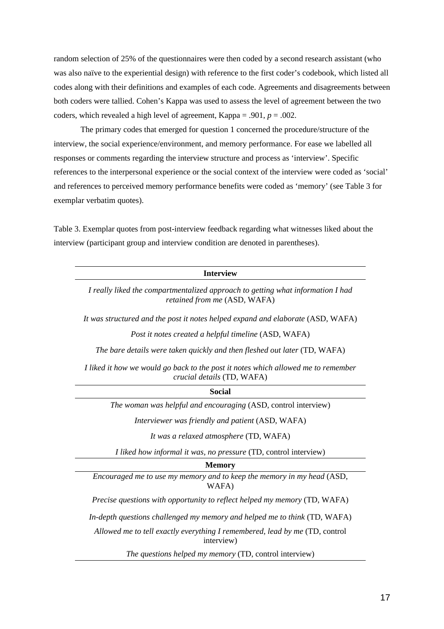random selection of 25% of the questionnaires were then coded by a second research assistant (who was also naïve to the experiential design) with reference to the first coder's codebook, which listed all codes along with their definitions and examples of each code. Agreements and disagreements between both coders were tallied. Cohen's Kappa was used to assess the level of agreement between the two coders, which revealed a high level of agreement, Kappa = .901,  $p = .002$ .

The primary codes that emerged for question 1 concerned the procedure/structure of the interview, the social experience/environment, and memory performance. For ease we labelled all responses or comments regarding the interview structure and process as 'interview'. Specific references to the interpersonal experience or the social context of the interview were coded as 'social' and references to perceived memory performance benefits were coded as 'memory' (see Table 3 for exemplar verbatim quotes).

Table 3. Exemplar quotes from post-interview feedback regarding what witnesses liked about the interview (participant group and interview condition are denoted in parentheses).

| <b>Interview</b>                                                                                                |  |
|-----------------------------------------------------------------------------------------------------------------|--|
| I really liked the compartmentalized approach to getting what information I had<br>retained from me (ASD, WAFA) |  |
| It was structured and the post it notes helped expand and elaborate (ASD, WAFA)                                 |  |
| Post it notes created a helpful timeline (ASD, WAFA)                                                            |  |
| The bare details were taken quickly and then fleshed out later (TD, WAFA)                                       |  |
| I liked it how we would go back to the post it notes which allowed me to remember<br>crucial details (TD, WAFA) |  |
| <b>Social</b>                                                                                                   |  |
| The woman was helpful and encouraging (ASD, control interview)                                                  |  |
| Interviewer was friendly and patient (ASD, WAFA)                                                                |  |
| It was a relaxed atmosphere (TD, WAFA)                                                                          |  |
| I liked how informal it was, no pressure (TD, control interview)                                                |  |
| <b>Memory</b>                                                                                                   |  |
| Encouraged me to use my memory and to keep the memory in my head (ASD,<br>WAFA)                                 |  |
| Precise questions with opportunity to reflect helped my memory (TD, WAFA)                                       |  |
| In-depth questions challenged my memory and helped me to think (TD, WAFA)                                       |  |
| Allowed me to tell exactly everything I remembered, lead by me (TD, control<br>interview)                       |  |
| The questions helped my memory (TD, control interview)                                                          |  |

17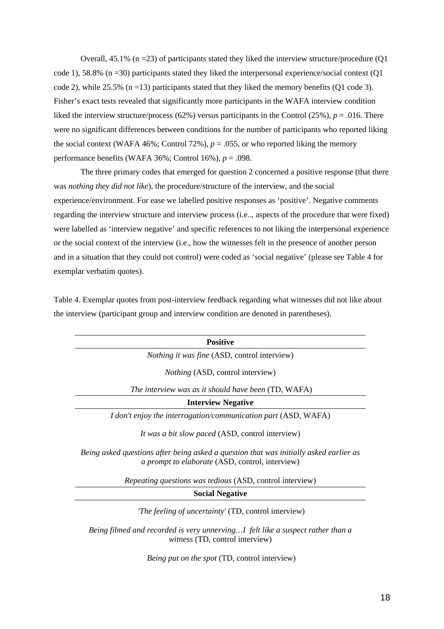Overall,  $45.1\%$  (n = 23) of participants stated they liked the interview structure/procedure (Q1) code 1), 58.8% (n =30) participants stated they liked the interpersonal experience/social context (O1) code 2), while 25.5% (n =13) participants stated that they liked the memory benefits (Q1 code 3). Fisher's exact tests revealed that significantly more participants in the WAFA interview condition liked the interview structure/process (62%) versus participants in the Control (25%),  $p = .016$ . There were no significant differences between conditions for the number of participants who reported liking the social context (WAFA 46%; Control 72%),  $p = 0.055$ , or who reported liking the memory performance benefits (WAFA 36%; Control 16%), *p* = .098.

The three primary codes that emerged for question 2 concerned a positive response (that there was *nothing they did not like*), the procedure/structure of the interview, and the social experience/environment. For ease we labelled positive responses as 'positive'. Negative comments regarding the interview structure and interview process (i.e.., aspects of the procedure that were fixed) were labelled as 'interview negative' and specific references to not liking the interpersonal experience or the social context of the interview (i.e., how the witnesses felt in the presence of another person and in a situation that they could not control) were coded as 'social negative' (please see Table 4 for exemplar verbatim quotes).

Table 4. Exemplar quotes from post-interview feedback regarding what witnesses did not like about the interview (participant group and interview condition are denoted in parentheses).

| <b>Positive</b>                                                                                                                                  |
|--------------------------------------------------------------------------------------------------------------------------------------------------|
| Nothing it was fine (ASD, control interview)                                                                                                     |
| <i>Nothing</i> (ASD, control interview)                                                                                                          |
| The interview was as it should have been (TD, WAFA)                                                                                              |
| <b>Interview Negative</b>                                                                                                                        |
| I don't enjoy the interrogation/communication part (ASD, WAFA)                                                                                   |
| <i>It was a bit slow paced</i> (ASD, control interview)                                                                                          |
| Being asked questions after being asked a question that was initially asked earlier as<br><i>a prompt to elaborate</i> (ASD, control, interview) |
| <i>Repeating questions was tedious (ASD, control interview)</i>                                                                                  |
| <b>Social Negative</b>                                                                                                                           |
| <i>The feeling of uncertainty'</i> (TD, control interview)                                                                                       |
| Being filmed and recorded is very unnerving I felt like a suspect rather than a<br>witness (TD, control interview)                               |

 *Being put on the spot* (TD, control interview)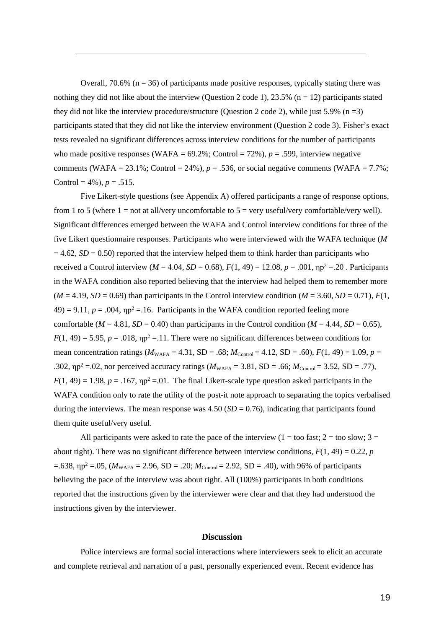Overall, 70.6% ( $n = 36$ ) of participants made positive responses, typically stating there was nothing they did not like about the interview (Question 2 code 1), 23.5% ( $n = 12$ ) participants stated they did not like the interview procedure/structure (Question 2 code 2), while just 5.9% ( $n = 3$ ) participants stated that they did not like the interview environment (Question 2 code 3). Fisher's exact tests revealed no significant differences across interview conditions for the number of participants who made positive responses (WAFA =  $69.2\%$ ; Control =  $72\%$ ),  $p = .599$ , interview negative comments (WAFA = 23.1%; Control = 24%),  $p = .536$ , or social negative comments (WAFA = 7.7%; Control =  $4\%$ ),  $p = .515$ .

Five Likert-style questions (see Appendix A) offered participants a range of response options, from 1 to 5 (where  $1 = not$  at all/very uncomfortable to  $5 =$  very useful/very comfortable/very well). Significant differences emerged between the WAFA and Control interview conditions for three of the five Likert questionnaire responses. Participants who were interviewed with the WAFA technique (*M*  $= 4.62$ ,  $SD = 0.50$ ) reported that the interview helped them to think harder than participants who received a Control interview ( $M = 4.04$ ,  $SD = 0.68$ ),  $F(1, 49) = 12.08$ ,  $p = .001$ ,  $np^2 = .20$ . Participants in the WAFA condition also reported believing that the interview had helped them to remember more  $(M = 4.19, SD = 0.69)$  than participants in the Control interview condition  $(M = 3.60, SD = 0.71)$ ,  $F(1,$  $(49) = 9.11$ ,  $p = .004$ ,  $np^2 = .16$ . Participants in the WAFA condition reported feeling more comfortable ( $M = 4.81$ ,  $SD = 0.40$ ) than participants in the Control condition ( $M = 4.44$ ,  $SD = 0.65$ ),  $F(1, 49) = 5.95$ ,  $p = .018$ ,  $np^2 = .11$ . There were no significant differences between conditions for mean concentration ratings ( $M_{\text{WAFA}} = 4.31$ , SD = .68;  $M_{\text{Control}} = 4.12$ , SD = .60),  $F(1, 49) = 1.09$ ,  $p =$ .302,  $np^2 = 0.02$ , nor perceived accuracy ratings ( $M_{\text{WAFA}} = 3.81$ , SD = .66;  $M_{\text{Control}} = 3.52$ , SD = .77),  $F(1, 49) = 1.98$ ,  $p = .167$ ,  $np^2 = .01$ . The final Likert-scale type question asked participants in the WAFA condition only to rate the utility of the post-it note approach to separating the topics verbalised during the interviews. The mean response was  $4.50$  ( $SD = 0.76$ ), indicating that participants found them quite useful/very useful.

All participants were asked to rate the pace of the interview ( $1 = \text{too fast}$ ;  $2 = \text{too slow}$ ;  $3 =$ about right). There was no significant difference between interview conditions,  $F(1, 49) = 0.22$ , *p*  $=$ .638,  $np^2 = 0.05$ ,  $(M_{\text{WAFA}} = 2.96$ ,  $SD = 0.20$ ;  $M_{\text{Control}} = 2.92$ ,  $SD = 0.40$ , with 96% of participants believing the pace of the interview was about right. All (100%) participants in both conditions reported that the instructions given by the interviewer were clear and that they had understood the instructions given by the interviewer.

#### **Discussion**

Police interviews are formal social interactions where interviewers seek to elicit an accurate and complete retrieval and narration of a past, personally experienced event. Recent evidence has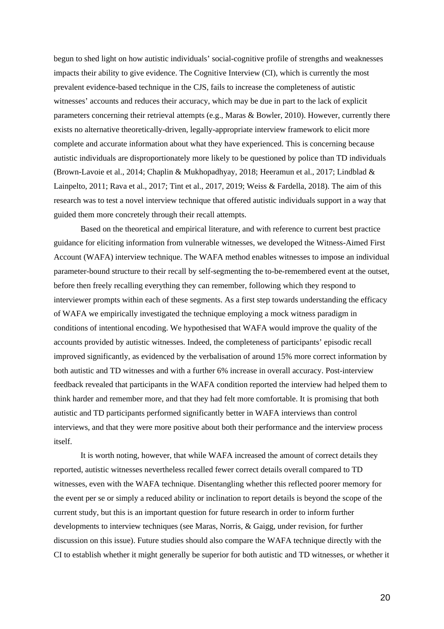begun to shed light on how autistic individuals' social-cognitive profile of strengths and weaknesses impacts their ability to give evidence. The Cognitive Interview (CI), which is currently the most prevalent evidence-based technique in the CJS, fails to increase the completeness of autistic witnesses' accounts and reduces their accuracy, which may be due in part to the lack of explicit parameters concerning their retrieval attempts (e.g., Maras & Bowler, 2010). However, currently there exists no alternative theoretically-driven, legally-appropriate interview framework to elicit more complete and accurate information about what they have experienced. This is concerning because autistic individuals are disproportionately more likely to be questioned by police than TD individuals (Brown-Lavoie et al., 2014; Chaplin & Mukhopadhyay, 2018; Heeramun et al., 2017; Lindblad & Lainpelto, 2011; Rava et al., 2017; Tint et al., 2017, 2019; Weiss & Fardella, 2018). The aim of this research was to test a novel interview technique that offered autistic individuals support in a way that guided them more concretely through their recall attempts.

Based on the theoretical and empirical literature, and with reference to current best practice guidance for eliciting information from vulnerable witnesses, we developed the Witness-Aimed First Account (WAFA) interview technique. The WAFA method enables witnesses to impose an individual parameter-bound structure to their recall by self-segmenting the to-be-remembered event at the outset, before then freely recalling everything they can remember, following which they respond to interviewer prompts within each of these segments. As a first step towards understanding the efficacy of WAFA we empirically investigated the technique employing a mock witness paradigm in conditions of intentional encoding. We hypothesised that WAFA would improve the quality of the accounts provided by autistic witnesses. Indeed, the completeness of participants' episodic recall improved significantly, as evidenced by the verbalisation of around 15% more correct information by both autistic and TD witnesses and with a further 6% increase in overall accuracy. Post-interview feedback revealed that participants in the WAFA condition reported the interview had helped them to think harder and remember more, and that they had felt more comfortable. It is promising that both autistic and TD participants performed significantly better in WAFA interviews than control interviews, and that they were more positive about both their performance and the interview process itself.

It is worth noting, however, that while WAFA increased the amount of correct details they reported, autistic witnesses nevertheless recalled fewer correct details overall compared to TD witnesses, even with the WAFA technique. Disentangling whether this reflected poorer memory for the event per se or simply a reduced ability or inclination to report details is beyond the scope of the current study, but this is an important question for future research in order to inform further developments to interview techniques (see Maras, Norris, & Gaigg, under revision, for further discussion on this issue). Future studies should also compare the WAFA technique directly with the CI to establish whether it might generally be superior for both autistic and TD witnesses, or whether it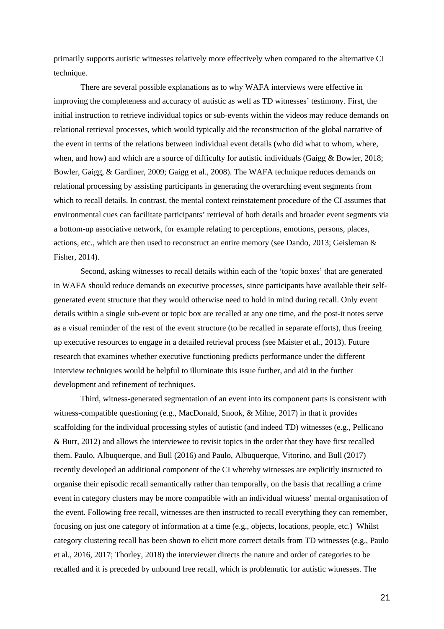primarily supports autistic witnesses relatively more effectively when compared to the alternative CI technique.

There are several possible explanations as to why WAFA interviews were effective in improving the completeness and accuracy of autistic as well as TD witnesses' testimony. First, the initial instruction to retrieve individual topics or sub-events within the videos may reduce demands on relational retrieval processes, which would typically aid the reconstruction of the global narrative of the event in terms of the relations between individual event details (who did what to whom, where, when, and how) and which are a source of difficulty for autistic individuals (Gaigg & Bowler, 2018; Bowler, Gaigg, & Gardiner, 2009; Gaigg et al., 2008). The WAFA technique reduces demands on relational processing by assisting participants in generating the overarching event segments from which to recall details. In contrast, the mental context reinstatement procedure of the CI assumes that environmental cues can facilitate participants' retrieval of both details and broader event segments via a bottom-up associative network, for example relating to perceptions, emotions, persons, places, actions, etc., which are then used to reconstruct an entire memory (see Dando, 2013; Geisleman & Fisher, 2014).

Second, asking witnesses to recall details within each of the 'topic boxes' that are generated in WAFA should reduce demands on executive processes, since participants have available their selfgenerated event structure that they would otherwise need to hold in mind during recall. Only event details within a single sub-event or topic box are recalled at any one time, and the post-it notes serve as a visual reminder of the rest of the event structure (to be recalled in separate efforts), thus freeing up executive resources to engage in a detailed retrieval process (see Maister et al., 2013). Future research that examines whether executive functioning predicts performance under the different interview techniques would be helpful to illuminate this issue further, and aid in the further development and refinement of techniques.

Third, witness-generated segmentation of an event into its component parts is consistent with witness-compatible questioning (e.g., MacDonald, Snook, & Milne, 2017) in that it provides scaffolding for the individual processing styles of autistic (and indeed TD) witnesses (e.g., Pellicano & Burr, 2012) and allows the interviewee to revisit topics in the order that they have first recalled them. Paulo, Albuquerque, and Bull (2016) and Paulo, Albuquerque, Vitorino, and Bull (2017) recently developed an additional component of the CI whereby witnesses are explicitly instructed to organise their episodic recall semantically rather than temporally, on the basis that recalling a crime event in category clusters may be more compatible with an individual witness' mental organisation of the event. Following free recall, witnesses are then instructed to recall everything they can remember, focusing on just one category of information at a time (e.g., objects, locations, people, etc.) Whilst category clustering recall has been shown to elicit more correct details from TD witnesses (e.g., Paulo et al., 2016, 2017; Thorley, 2018) the interviewer directs the nature and order of categories to be recalled and it is preceded by unbound free recall, which is problematic for autistic witnesses. The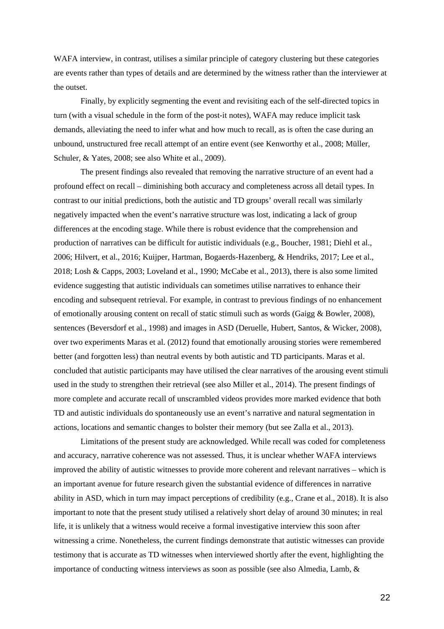WAFA interview, in contrast, utilises a similar principle of category clustering but these categories are events rather than types of details and are determined by the witness rather than the interviewer at the outset.

Finally, by explicitly segmenting the event and revisiting each of the self-directed topics in turn (with a visual schedule in the form of the post-it notes), WAFA may reduce implicit task demands, alleviating the need to infer what and how much to recall, as is often the case during an unbound, unstructured free recall attempt of an entire event (see Kenworthy et al., 2008; Müller, Schuler, & Yates, 2008; see also White et al., 2009).

The present findings also revealed that removing the narrative structure of an event had a profound effect on recall – diminishing both accuracy and completeness across all detail types. In contrast to our initial predictions, both the autistic and TD groups' overall recall was similarly negatively impacted when the event's narrative structure was lost, indicating a lack of group differences at the encoding stage. While there is robust evidence that the comprehension and production of narratives can be difficult for autistic individuals (e.g., Boucher, 1981; Diehl et al., 2006; Hilvert, et al., 2016; Kuijper, Hartman, Bogaerds-Hazenberg, & Hendriks, 2017; Lee et al., 2018; Losh & Capps, 2003; Loveland et al., 1990; McCabe et al., 2013), there is also some limited evidence suggesting that autistic individuals can sometimes utilise narratives to enhance their encoding and subsequent retrieval. For example, in contrast to previous findings of no enhancement of emotionally arousing content on recall of static stimuli such as words (Gaigg  $\&$  Bowler, 2008), sentences (Beversdorf et al., 1998) and images in ASD (Deruelle, Hubert, Santos, & Wicker, 2008), over two experiments Maras et al. (2012) found that emotionally arousing stories were remembered better (and forgotten less) than neutral events by both autistic and TD participants. Maras et al. concluded that autistic participants may have utilised the clear narratives of the arousing event stimuli used in the study to strengthen their retrieval (see also Miller et al., 2014). The present findings of more complete and accurate recall of unscrambled videos provides more marked evidence that both TD and autistic individuals do spontaneously use an event's narrative and natural segmentation in actions, locations and semantic changes to bolster their memory (but see Zalla et al., 2013).

Limitations of the present study are acknowledged. While recall was coded for completeness and accuracy, narrative coherence was not assessed. Thus, it is unclear whether WAFA interviews improved the ability of autistic witnesses to provide more coherent and relevant narratives – which is an important avenue for future research given the substantial evidence of differences in narrative ability in ASD, which in turn may impact perceptions of credibility (e.g., Crane et al., 2018). It is also important to note that the present study utilised a relatively short delay of around 30 minutes; in real life, it is unlikely that a witness would receive a formal investigative interview this soon after witnessing a crime. Nonetheless, the current findings demonstrate that autistic witnesses can provide testimony that is accurate as TD witnesses when interviewed shortly after the event, highlighting the importance of conducting witness interviews as soon as possible (see also Almedia, Lamb, &

22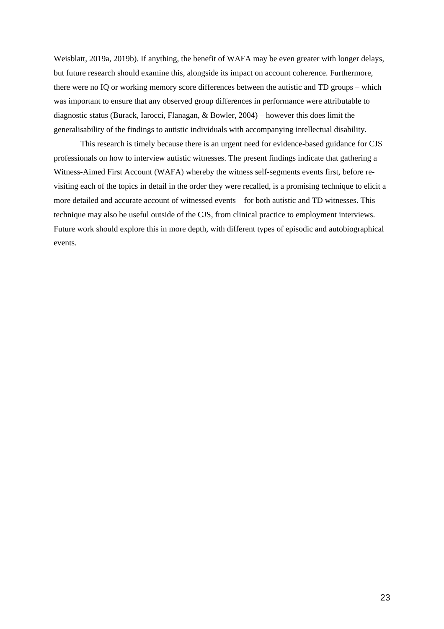Weisblatt, 2019a, 2019b). If anything, the benefit of WAFA may be even greater with longer delays, but future research should examine this, alongside its impact on account coherence. Furthermore, there were no IQ or working memory score differences between the autistic and TD groups – which was important to ensure that any observed group differences in performance were attributable to diagnostic status (Burack, Iarocci, Flanagan, & Bowler, 2004) – however this does limit the generalisability of the findings to autistic individuals with accompanying intellectual disability.

This research is timely because there is an urgent need for evidence-based guidance for CJS professionals on how to interview autistic witnesses. The present findings indicate that gathering a Witness-Aimed First Account (WAFA) whereby the witness self-segments events first, before revisiting each of the topics in detail in the order they were recalled, is a promising technique to elicit a more detailed and accurate account of witnessed events – for both autistic and TD witnesses. This technique may also be useful outside of the CJS, from clinical practice to employment interviews. Future work should explore this in more depth, with different types of episodic and autobiographical events.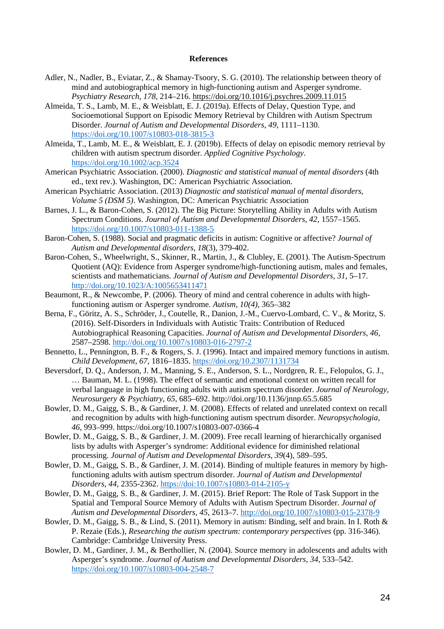#### **References**

- Adler, N., Nadler, B., Eviatar, Z., & Shamay-Tsoory, S. G. (2010). The relationship between theory of mind and autobiographical memory in high-functioning autism and Asperger syndrome. *Psychiatry Research*, *178*, 214–216.<https://doi.org/10.1016/j.psychres.2009.11.015>
- Almeida, T. S., Lamb, M. E., & Weisblatt, E. J. (2019a). Effects of Delay, Question Type, and Socioemotional Support on Episodic Memory Retrieval by Children with Autism Spectrum Disorder. *Journal of Autism and Developmental Disorders*, *49*, 1111–1130. <https://doi.org/10.1007/s10803-018-3815-3>
- Almeida, T., Lamb, M. E., & Weisblatt, E. J. (2019b). Effects of delay on episodic memory retrieval by children with autism spectrum disorder. *Applied Cognitive Psychology*. <https://doi.org/10.1002/acp.3524>
- American Psychiatric Association. (2000). *Diagnostic and statistical manual of mental disorders* (4th ed., text rev.). Washington, DC: American Psychiatric Association.
- American Psychiatric Association. (2013) *Diagnostic and statistical manual of mental disorders, Volume 5 (DSM 5)*. Washington, DC: American Psychiatric Association
- Barnes, J. L., & Baron-Cohen, S. (2012). The Big Picture: Storytelling Ability in Adults with Autism Spectrum Conditions. *Journal of Autism and Developmental Disorders*, *42*, 1557–1565. <https://doi.org/10.1007/s10803-011-1388-5>
- Baron-Cohen, S. (1988). Social and pragmatic deficits in autism: Cognitive or affective? *Journal of Autism and Developmental disorders*, *18*(3), 379-402.
- Baron-Cohen, S., Wheelwright, S., Skinner, R., Martin, J., & Clubley, E. (2001). The Autism-Spectrum Quotient (AQ): Evidence from Asperger syndrome/high-functioning autism, males and females, scientists and mathematicians. *Journal of Autism and Developmental Disorders*, *31*, 5–17. <http://doi.org/10.1023/A:1005653411471>
- Beaumont, R., & Newcombe, P. (2006). Theory of mind and central coherence in adults with highfunctioning autism or Asperger syndrome*. Autism, 10(4),* 365–382
- Berna, F., Göritz, A. S., Schröder, J., Coutelle, R., Danion, J.-M., Cuervo-Lombard, C. V., & Moritz, S. (2016). Self-Disorders in Individuals with Autistic Traits: Contribution of Reduced Autobiographical Reasoning Capacities. *Journal of Autism and Developmental Disorders*, *46*, 2587–2598. <http://doi.org/10.1007/s10803-016-2797-2>
- Bennetto, L., Pennington, B. F., & Rogers, S. J. (1996). Intact and impaired memory functions in autism. *Child Development*, *67*, 1816–1835.<https://doi.org/10.2307/1131734>
- Beversdorf, D. Q., Anderson, J. M., Manning, S. E., Anderson, S. L., Nordgren, R. E., Felopulos, G. J., … Bauman, M. L. (1998). The effect of semantic and emotional context on written recall for verbal language in high functioning adults with autism spectrum disorder. *Journal of Neurology, Neurosurgery & Psychiatry*, *65*, 685–692. http://doi.org/10.1136/jnnp.65.5.685
- Bowler, D. M., Gaigg, S. B., & Gardiner, J. M. (2008). Effects of related and unrelated context on recall and recognition by adults with high-functioning autism spectrum disorder. *Neuropsychologia*, *46*, 993–999. https://doi.org/10.1007/s10803-007-0366-4
- Bowler, D. M., Gaigg, S. B., & Gardiner, J. M. (2009). Free recall learning of hierarchically organised lists by adults with Asperger's syndrome: Additional evidence for diminished relational processing. *Journal of Autism and Developmental Disorders*, *39*(4), 589–595.
- Bowler, D. M., Gaigg, S. B., & Gardiner, J. M. (2014). Binding of multiple features in memory by highfunctioning adults with autism spectrum disorder. *Journal of Autism and Developmental Disorders, 44*, 2355-2362.<https://doi:10.1007/s10803-014-2105-y>
- Bowler, D. M., Gaigg, S. B., & Gardiner, J. M. (2015). Brief Report: The Role of Task Support in the Spatial and Temporal Source Memory of Adults with Autism Spectrum Disorder. *Journal of Autism and Developmental Disorders*, *45*, 2613–7.<http://doi.org/10.1007/s10803-015-2378-9>
- Bowler, D. M., Gaigg, S. B., & Lind, S. (2011). Memory in autism: Binding, self and brain. In I. Roth & P. Rezaie (Eds.), *Researching the autism spectrum: contemporary perspectives* (pp. 316-346). Cambridge: Cambridge University Press.
- Bowler, D. M., Gardiner, J. M., & Berthollier, N. (2004). Source memory in adolescents and adults with Asperger's syndrome. *Journal of Autism and Developmental Disorders*, *34*, 533–542. <https://doi.org/10.1007/s10803-004-2548-7>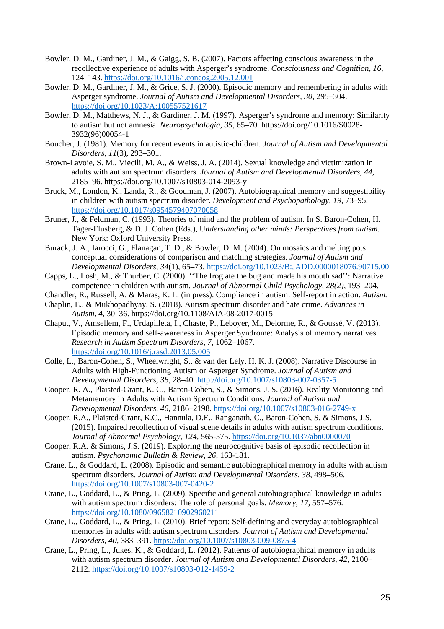- Bowler, D. M., Gardiner, J. M., & Gaigg, S. B. (2007). Factors affecting conscious awareness in the recollective experience of adults with Asperger's syndrome. *Consciousness and Cognition*, *16*, 124–143. <https://doi.org/10.1016/j.concog.2005.12.001>
- Bowler, D. M., Gardiner, J. M., & Grice, S. J. (2000). Episodic memory and remembering in adults with Asperger syndrome. *Journal of Autism and Developmental Disorders*, *30*, 295–304. <https://doi.org/10.1023/A:100557521617>
- Bowler, D. M., Matthews, N. J., & Gardiner, J. M. (1997). Asperger's syndrome and memory: Similarity to autism but not amnesia. *Neuropsychologia*, *35*, 65–70. https://doi.org/10.1016/S0028- 3932(96)00054-1
- Boucher, J. (1981). Memory for recent events in autistic-children. *Journal of Autism and Developmental Disorders*, *11*(3), 293–301.
- Brown-Lavoie, S. M., Viecili, M. A., & Weiss, J. A. (2014). Sexual knowledge and victimization in adults with autism spectrum disorders. *Journal of Autism and Developmental Disorders*, *44*, 2185–96. https://doi.org/10.1007/s10803-014-2093-y
- Bruck, M., London, K., Landa, R., & Goodman, J. (2007). Autobiographical memory and suggestibility in children with autism spectrum disorder. *Development and Psychopathology*, *19*, 73–95. <https://doi.org/10.1017/s0954579407070058>
- Bruner, J., & Feldman, C. (1993). Theories of mind and the problem of autism. In S. Baron-Cohen, H. Tager-Flusberg, & D. J. Cohen (Eds.), U*nderstanding other minds: Perspectives from autism.*  New York: Oxford University Press.
- Burack, J. A., Iarocci, G., Flanagan, T. D., & Bowler, D. M. (2004). On mosaics and melting pots: conceptual considerations of comparison and matching strategies. *Journal of Autism and Developmental Disorders*, *34*(1), 65–73.<https://doi.org/10.1023/B:JADD.0000018076.90715.00>
- Capps, L., Losh, M., & Thurber, C. (2000). ''The frog ate the bug and made his mouth sad'': Narrative competence in children with autism*. Journal of Abnormal Child Psychology, 28(2),* 193–204.
- Chandler, R., Russell, A. & Maras, K. L. (in press). Compliance in autism: Self-report in action. *Autism.*
- Chaplin, E., & Mukhopadhyay, S. (2018). Autism spectrum disorder and hate crime. *Advances in Autism*, *4*, 30–36. https://doi.org/10.1108/AIA-08-2017-0015
- Chaput, V., Amsellem, F., Urdapilleta, I., Chaste, P., Leboyer, M., Delorme, R., & Goussé, V. (2013). Episodic memory and self-awareness in Asperger Syndrome: Analysis of memory narratives. *Research in Autism Spectrum Disorders*, *7*, 1062–1067. <https://doi.org/10.1016/j.rasd.2013.05.005>
- Colle, L., Baron-Cohen, S., Wheelwright, S., & van der Lely, H. K. J. (2008). Narrative Discourse in Adults with High-Functioning Autism or Asperger Syndrome. *Journal of Autism and Developmental Disorders*, *38*, 28–40.<http://doi.org/10.1007/s10803-007-0357-5>
- Cooper, R. A., Plaisted-Grant, K. C., Baron-Cohen, S., & Simons, J. S. (2016). Reality Monitoring and Metamemory in Adults with Autism Spectrum Conditions. *Journal of Autism and Developmental Disorders*, *46*, 2186–2198.<https://doi.org/10.1007/s10803-016-2749-x>
- Cooper, R.A., Plaisted-Grant, K.C., Hannula, D.E., Ranganath, C., Baron-Cohen, S. & Simons, J.S. (2015). Impaired recollection of visual scene details in adults with autism spectrum conditions. *Journal of Abnormal Psychology, 124,* 565-575.<https://doi.org/10.1037/abn0000070>
- Cooper, R.A. & Simons, J.S. (2019). Exploring the neurocognitive basis of episodic recollection in autism. *Psychonomic Bulletin & Review, 26,* 163-181.
- Crane, L., & Goddard, L. (2008). Episodic and semantic autobiographical memory in adults with autism spectrum disorders. *Journal of Autism and Developmental Disorders*, *38*, 498–506. <https://doi.org/10.1007/s10803-007-0420-2>
- Crane, L., Goddard, L., & Pring, L. (2009). Specific and general autobiographical knowledge in adults with autism spectrum disorders: The role of personal goals. *Memory*, *17*, 557–576. <https://doi.org/10.1080/09658210902960211>
- Crane, L., Goddard, L., & Pring, L. (2010). Brief report: Self-defining and everyday autobiographical memories in adults with autism spectrum disorders. *Journal of Autism and Developmental Disorders*, *40*, 383–391. <https://doi.org/10.1007/s10803-009-0875-4>
- Crane, L., Pring, L., Jukes, K., & Goddard, L. (2012). Patterns of autobiographical memory in adults with autism spectrum disorder. *Journal of Autism and Developmental Disorders*, *42*, 2100– 2112. <https://doi.org/10.1007/s10803-012-1459-2>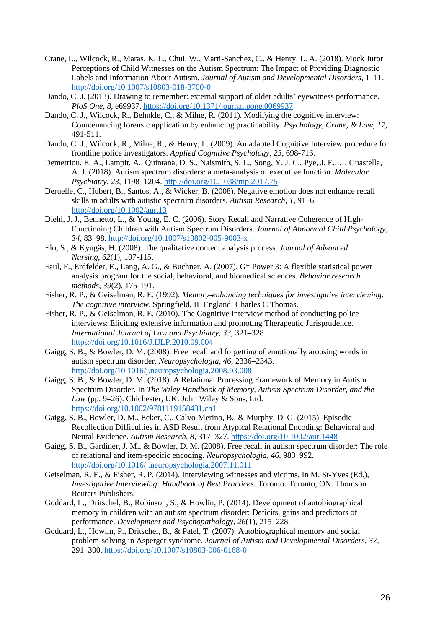- Crane, L., Wilcock, R., Maras, K. L., Chui, W., Marti-Sanchez, C., & Henry, L. A. (2018). Mock Juror Perceptions of Child Witnesses on the Autism Spectrum: The Impact of Providing Diagnostic Labels and Information About Autism. *Journal of Autism and Developmental Disorders*, 1–11. <http://doi.org/10.1007/s10803-018-3700-0>
- Dando, C. J. (2013). Drawing to remember: external support of older adults' eyewitness performance. *PloS One*, *8*, e69937.<https://doi.org/10.1371/journal.pone.0069937>
- Dando, C. J., Wilcock, R., Behnkle, C., & Milne, R. (2011). Modifying the cognitive interview: Countenancing forensic application by enhancing practicability. *Psychology, Crime, & Law, 17,*  491-511.
- Dando, C. J., Wilcock, R., Milne, R., & Henry, L. (2009). An adapted Cognitive Interview procedure for frontline police investigators. *Applied Cognitive Psychology, 23,* 698-716.
- Demetriou, E. A., Lampit, A., Quintana, D. S., Naismith, S. L., Song, Y. J. C., Pye, J. E., … Guastella, A. J. (2018). Autism spectrum disorders: a meta-analysis of executive function. *Molecular Psychiatry*, *23*, 1198–1204.<http://doi.org/10.1038/mp.2017.75>
- Deruelle, C., Hubert, B., Santos, A., & Wicker, B. (2008). Negative emotion does not enhance recall skills in adults with autistic spectrum disorders. *Autism Research*, *1*, 91–6. <http://doi.org/10.1002/aur.13>
- Diehl, J. J., Bennetto, L., & Young, E. C. (2006). Story Recall and Narrative Coherence of High-Functioning Children with Autism Spectrum Disorders. *Journal of Abnormal Child Psychology*, *34*, 83–98. <http://doi.org/10.1007/s10802-005-9003-x>
- Elo, S., & Kyngäs, H. (2008). The qualitative content analysis process. *Journal of Advanced Nursing*, *62*(1), 107-115.
- Faul, F., Erdfelder, E., Lang, A. G., & Buchner, A. (2007). G\* Power 3: A flexible statistical power analysis program for the social, behavioral, and biomedical sciences. *Behavior research methods*, *39*(2), 175-191.
- Fisher, R. P., & Geiselman, R. E. (1992). *Memory-enhancing techniques for investigative interviewing: The cognitive interview*. Springfield, IL England: Charles C Thomas.
- Fisher, R. P., & Geiselman, R. E. (2010). The Cognitive Interview method of conducting police interviews: Eliciting extensive information and promoting Therapeutic Jurisprudence. *International Journal of Law and Psychiatry*, *33*, 321–328. <https://doi.org/10.1016/J.IJLP.2010.09.004>
- Gaigg, S. B., & Bowler, D. M. (2008). Free recall and forgetting of emotionally arousing words in autism spectrum disorder. *Neuropsychologia*, *46*, 2336–2343. <http://doi.org/10.1016/j.neuropsychologia.2008.03.008>
- Gaigg, S. B., & Bowler, D. M. (2018). A Relational Processing Framework of Memory in Autism Spectrum Disorder. In *The Wiley Handbook of Memory, Autism Spectrum Disorder, and the Law* (pp. 9–26). Chichester, UK: John Wiley & Sons, Ltd. <https://doi.org/10.1002/9781119158431.ch1>
- Gaigg, S. B., Bowler, D. M., Ecker, C., Calvo-Merino, B., & Murphy, D. G. (2015). Episodic Recollection Difficulties in ASD Result from Atypical Relational Encoding: Behavioral and Neural Evidence. *Autism Research*, *8*, 317–327. <https://doi.org/10.1002/aur.1448>
- Gaigg, S. B., Gardiner, J. M., & Bowler, D. M. (2008). Free recall in autism spectrum disorder: The role of relational and item-specific encoding. *Neuropsychologia*, *46*, 983–992. <http://doi.org/10.1016/j.neuropsychologia.2007.11.011>
- Geiselman, R. E., & Fisher, R. P. (2014). Interviewing witnesses and victims. In M. St-Yves (Ed.), *Investigative Interviewing: Handbook of Best Practices.* Toronto: Toronto, ON: Thomson Reuters Publishers.
- Goddard, L., Dritschel, B., Robinson, S., & Howlin, P. (2014). Development of autobiographical memory in children with an autism spectrum disorder: Deficits, gains and predictors of performance. *Development and Psychopathology, 26*(1), 215–228.
- Goddard, L., Howlin, P., Dritschel, B., & Patel, T. (2007). Autobiographical memory and social problem-solving in Asperger syndrome. *Journal of Autism and Developmental Disorders*, *37*, 291–300. <https://doi.org/10.1007/s10803-006-0168-0>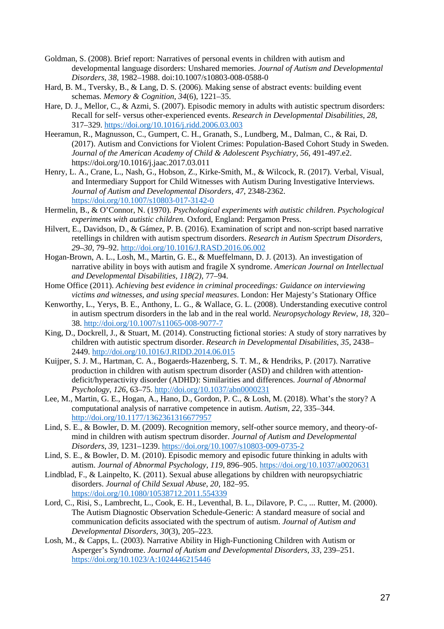- Goldman, S. (2008). Brief report: Narratives of personal events in children with autism and developmental language disorders: Unshared memories. *Journal of Autism and Developmental Disorders, 38*, 1982–1988. doi:10.1007/s10803-008-0588-0
- Hard, B. M., Tversky, B., & Lang, D. S. (2006). Making sense of abstract events: building event schemas. *Memory & Cognition*, *34*(6), 1221–35.
- Hare, D. J., Mellor, C., & Azmi, S. (2007). Episodic memory in adults with autistic spectrum disorders: Recall for self- versus other-experienced events. *Research in Developmental Disabilities*, *28*, 317–329. <https://doi.org/10.1016/j.ridd.2006.03.003>
- Heeramun, R., Magnusson, C., Gumpert, C. H., Granath, S., Lundberg, M., Dalman, C., & Rai, D. (2017). Autism and Convictions for Violent Crimes: Population-Based Cohort Study in Sweden. *Journal of the American Academy of Child & Adolescent Psychiatry*, *56*, 491-497.e2. https://doi.org/10.1016/j.jaac.2017.03.011
- Henry, L. A., Crane, L., Nash, G., Hobson, Z., Kirke-Smith, M., & Wilcock, R. (2017). Verbal, Visual, and Intermediary Support for Child Witnesses with Autism During Investigative Interviews. *Journal of Autism and Developmental Disorders*, *47*, 2348-2362. <https://doi.org/10.1007/s10803-017-3142-0>
- Hermelin, B., & O'Connor, N. (1970). *Psychological experiments with autistic children*. *Psychological experiments with autistic children.* Oxford, England: Pergamon Press.
- Hilvert, E., Davidson, D., & Gámez, P. B. (2016). Examination of script and non-script based narrative retellings in children with autism spectrum disorders. *Research in Autism Spectrum Disorders*, *29*–*30*, 79–92. <http://doi.org/10.1016/J.RASD.2016.06.002>
- Hogan-Brown, A. L., Losh, M., Martin, G. E., & Mueffelmann, D. J. (2013). An investigation of narrative ability in boys with autism and fragile X syndrome. *American Journal on Intellectual and Developmental Disabilities, 118(2),* 77–94.
- Home Office (2011). *Achieving best evidence in criminal proceedings: Guidance on interviewing victims and witnesses, and using special measures*. London: Her Majesty's Stationary Office
- Kenworthy, L., Yerys, B. E., Anthony, L. G., & Wallace, G. L. (2008). Understanding executive control in autism spectrum disorders in the lab and in the real world. *Neuropsychology Review*, *18*, 320– 38.<http://doi.org/10.1007/s11065-008-9077-7>
- King, D., Dockrell, J., & Stuart, M. (2014). Constructing fictional stories: A study of story narratives by children with autistic spectrum disorder. *Research in Developmental Disabilities*, *35*, 2438– 2449. <http://doi.org/10.1016/J.RIDD.2014.06.015>
- Kuijper, S. J. M., Hartman, C. A., Bogaerds-Hazenberg, S. T. M., & Hendriks, P. (2017). Narrative production in children with autism spectrum disorder (ASD) and children with attentiondeficit/hyperactivity disorder (ADHD): Similarities and differences. *Journal of Abnormal Psychology*, *126*, 63–75.<http://doi.org/10.1037/abn0000231>
- Lee, M., Martin, G. E., Hogan, A., Hano, D., Gordon, P. C., & Losh, M. (2018). What's the story? A computational analysis of narrative competence in autism. *Autism*, *22*, 335–344. <http://doi.org/10.1177/1362361316677957>
- Lind, S. E., & Bowler, D. M. (2009). Recognition memory, self-other source memory, and theory-ofmind in children with autism spectrum disorder. *Journal of Autism and Developmental Disorders*, *39*, 1231–1239. <https://doi.org/10.1007/s10803-009-0735-2>
- Lind, S. E., & Bowler, D. M. (2010). Episodic memory and episodic future thinking in adults with autism. *Journal of Abnormal Psychology*, *119*, 896–905.<https://doi.org/10.1037/a0020631>
- Lindblad, F., & Lainpelto, K. (2011). Sexual abuse allegations by children with neuropsychiatric disorders. *Journal of Child Sexual Abuse*, *20*, 182–95. <https://doi.org/10.1080/10538712.2011.554339>
- Lord, C., Risi, S., Lambrecht, L., Cook, E. H., Leventhal, B. L., Dilavore, P. C., ... Rutter, M. (2000). The Autism Diagnostic Observation Schedule-Generic: A standard measure of social and communication deficits associated with the spectrum of autism. *Journal of Autism and Developmental Disorders, 30*(3), 205–223.
- Losh, M., & Capps, L. (2003). Narrative Ability in High-Functioning Children with Autism or Asperger's Syndrome. *Journal of Autism and Developmental Disorders*, *33*, 239–251. <https://doi.org/10.1023/A:1024446215446>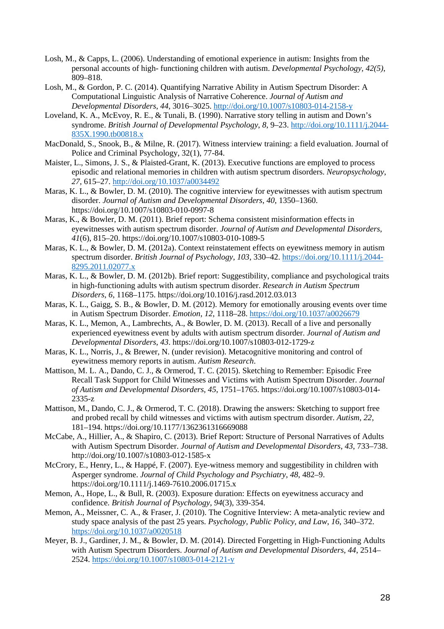- Losh, M., & Capps, L. (2006). Understanding of emotional experience in autism: Insights from the personal accounts of high- functioning children with autism. *Developmental Psychology, 42(5)*, 809–818.
- Losh, M., & Gordon, P. C. (2014). Quantifying Narrative Ability in Autism Spectrum Disorder: A Computational Linguistic Analysis of Narrative Coherence. *Journal of Autism and Developmental Disorders*, *44*, 3016–3025.<http://doi.org/10.1007/s10803-014-2158-y>
- Loveland, K. A., McEvoy, R. E., & Tunali, B. (1990). Narrative story telling in autism and Down's syndrome. *British Journal of Developmental Psychology*, *8*, 9–23. [http://doi.org/10.1111/j.2044-](http://doi.org/10.1111/j.2044-835X.1990.tb00818.x) [835X.1990.tb00818.x](http://doi.org/10.1111/j.2044-835X.1990.tb00818.x)
- MacDonald, S., Snook, B., & Milne, R. (2017). Witness interview training: a field evaluation. Journal of Police and Criminal Psychology, 32(1), 77-84.
- Maister, L., Simons, J. S., & Plaisted-Grant, K. (2013). Executive functions are employed to process episodic and relational memories in children with autism spectrum disorders. *Neuropsychology*, *27*, 615–27. <http://doi.org/10.1037/a0034492>
- Maras, K. L., & Bowler, D. M. (2010). The cognitive interview for eyewitnesses with autism spectrum disorder. *Journal of Autism and Developmental Disorders*, *40*, 1350–1360. https://doi.org/10.1007/s10803-010-0997-8
- Maras, K., & Bowler, D. M. (2011). Brief report: Schema consistent misinformation effects in eyewitnesses with autism spectrum disorder. *Journal of Autism and Developmental Disorders*, *41*(6), 815–20. https://doi.org/10.1007/s10803-010-1089-5
- Maras, K. L., & Bowler, D. M. (2012a). Context reinstatement effects on eyewitness memory in autism spectrum disorder. *British Journal of Psychology*, *103*, 330–42. [https://doi.org/10.1111/j.2044-](https://doi.org/10.1111/j.2044-8295.2011.02077.x) [8295.2011.02077.x](https://doi.org/10.1111/j.2044-8295.2011.02077.x)
- Maras, K. L., & Bowler, D. M. (2012b). Brief report: Suggestibility, compliance and psychological traits in high-functioning adults with autism spectrum disorder. *Research in Autism Spectrum Disorders*, *6*, 1168–1175. https://doi.org/10.1016/j.rasd.2012.03.013
- Maras, K. L., Gaigg, S. B., & Bowler, D. M. (2012). Memory for emotionally arousing events over time in Autism Spectrum Disorder. *Emotion*, *12*, 1118–28. <https://doi.org/10.1037/a0026679>
- Maras, K. L., Memon, A., Lambrechts, A., & Bowler, D. M. (2013). Recall of a live and personally experienced eyewitness event by adults with autism spectrum disorder. *Journal of Autism and Developmental Disorders*, *43*. https://doi.org/10.1007/s10803-012-1729-z
- Maras, K. L., Norris, J., & Brewer, N. (under revision). Metacognitive monitoring and control of eyewitness memory reports in autism. *Autism Research*.
- Mattison, M. L. A., Dando, C. J., & Ormerod, T. C. (2015). Sketching to Remember: Episodic Free Recall Task Support for Child Witnesses and Victims with Autism Spectrum Disorder. *Journal of Autism and Developmental Disorders*, *45*, 1751–1765. https://doi.org/10.1007/s10803-014- 2335-z
- Mattison, M., Dando, C. J., & Ormerod, T. C. (2018). Drawing the answers: Sketching to support free and probed recall by child witnesses and victims with autism spectrum disorder. *Autism*, *22*, 181–194. https://doi.org/10.1177/1362361316669088
- McCabe, A., Hillier, A., & Shapiro, C. (2013). Brief Report: Structure of Personal Narratives of Adults with Autism Spectrum Disorder. *Journal of Autism and Developmental Disorders*, *43*, 733–738. http://doi.org/10.1007/s10803-012-1585-x
- McCrory, E., Henry, L., & Happé, F. (2007). Eye-witness memory and suggestibility in children with Asperger syndrome. *Journal of Child Psychology and Psychiatry*, *48*, 482–9. https://doi.org/10.1111/j.1469-7610.2006.01715.x
- Memon, A., Hope, L., & Bull, R. (2003). Exposure duration: Effects on eyewitness accuracy and confidence. *British Journal of Psychology*, *94*(3), 339-354.
- Memon, A., Meissner, C. A., & Fraser, J. (2010). The Cognitive Interview: A meta-analytic review and study space analysis of the past 25 years. *Psychology, Public Policy, and Law*, *16*, 340–372. <https://doi.org/10.1037/a0020518>
- Meyer, B. J., Gardiner, J. M., & Bowler, D. M. (2014). Directed Forgetting in High-Functioning Adults with Autism Spectrum Disorders. *Journal of Autism and Developmental Disorders*, *44*, 2514– 2524. <https://doi.org/10.1007/s10803-014-2121-y>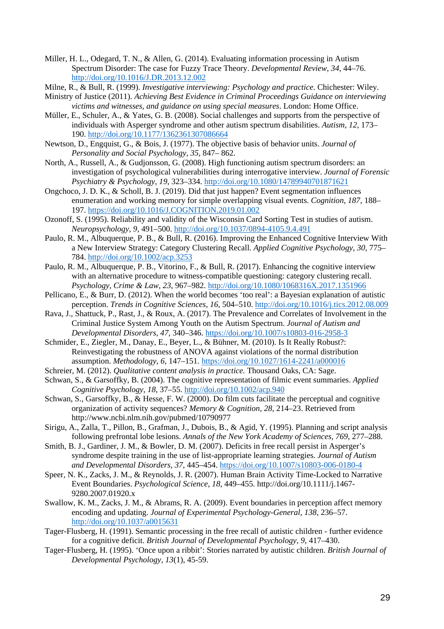- Miller, H. L., Odegard, T. N., & Allen, G. (2014). Evaluating information processing in Autism Spectrum Disorder: The case for Fuzzy Trace Theory. *Developmental Review*, *34*, 44–76. <http://doi.org/10.1016/J.DR.2013.12.002>
- Milne, R., & Bull, R. (1999). *Investigative interviewing: Psychology and practice*. Chichester: Wiley.

Ministry of Justice (2011). *Achieving Best Evidence in Criminal Proceedings Guidance on interviewing victims and witnesses, and guidance on using special measures*. London: Home Office.

- Müller, E., Schuler, A., & Yates, G. B. (2008). Social challenges and supports from the perspective of individuals with Asperger syndrome and other autism spectrum disabilities. *Autism*, *12*, 173– 190. <http://doi.org/10.1177/1362361307086664>
- Newtson, D., Engquist, G., & Bois, J. (1977). The objective basis of behavior units. *Journal of Personality and Social Psychology, 35,* 847– 862.
- North, A., Russell, A., & Gudjonsson, G. (2008). High functioning autism spectrum disorders: an investigation of psychological vulnerabilities during interrogative interview. *Journal of Forensic Psychiatry & Psychology*, *19*, 323–334. <http://doi.org/10.1080/14789940701871621>
- Ongchoco, J. D. K., & Scholl, B. J. (2019). Did that just happen? Event segmentation influences enumeration and working memory for simple overlapping visual events. *Cognition*, *187*, 188– 197. <https://doi.org/10.1016/J.COGNITION.2019.01.002>
- Ozonoff, S. (1995). Reliability and validity of the Wisconsin Card Sorting Test in studies of autism. *Neuropsychology*, *9*, 491–500.<http://doi.org/10.1037/0894-4105.9.4.491>
- Paulo, R. M., Albuquerque, P. B., & Bull, R. (2016). Improving the Enhanced Cognitive Interview With a New Interview Strategy: Category Clustering Recall. *Applied Cognitive Psychology*, *30*, 775– 784. <http://doi.org/10.1002/acp.3253>
- Paulo, R. M., Albuquerque, P. B., Vitorino, F., & Bull, R. (2017). Enhancing the cognitive interview with an alternative procedure to witness-compatible questioning: category clustering recall. *Psychology, Crime & Law*, *23*, 967–982. <http://doi.org/10.1080/1068316X.2017.1351966>
- Pellicano, E., & Burr, D. (2012). When the world becomes 'too real': a Bayesian explanation of autistic perception. *Trends in Cognitive Sciences*, *16*, 504–510. <http://doi.org/10.1016/j.tics.2012.08.009>
- Rava, J., Shattuck, P., Rast, J., & Roux, A. (2017). The Prevalence and Correlates of Involvement in the Criminal Justice System Among Youth on the Autism Spectrum. *Journal of Autism and Developmental Disorders*, *47*, 340–346. [https://doi.org/10.1007/s10803-016-2958-3](https://doi.org/10.1007/s10803-016-2958-3%20)
- Schmider, E., Ziegler, M., Danay, E., Beyer, L., & Bühner, M. (2010). Is It Really Robust?: Reinvestigating the robustness of ANOVA against violations of the normal distribution assumption. *Methodology*, *6*, 147–151.<https://doi.org/10.1027/1614-2241/a000016>
- Schreier, M. (2012). *Qualitative content analysis in practice.* Thousand Oaks, CA: Sage.
- Schwan, S., & Garsoffky, B. (2004). The cognitive representation of filmic event summaries. *Applied Cognitive Psychology*, *18*, 37–55.<http://doi.org/10.1002/acp.940>
- Schwan, S., Garsoffky, B., & Hesse, F. W. (2000). Do film cuts facilitate the perceptual and cognitive organization of activity sequences? *Memory & Cognition*, *28*, 214–23. Retrieved from http://www.ncbi.nlm.nih.gov/pubmed/10790977
- Sirigu, A., Zalla, T., Pillon, B., Grafman, J., Dubois, B., & Agid, Y. (1995). Planning and script analysis following prefrontal lobe lesions. *Annals of the New York Academy of Sciences, 769,* 277–288.
- Smith, B. J., Gardiner, J. M., & Bowler, D. M. (2007). Deficits in free recall persist in Asperger's syndrome despite training in the use of list-appropriate learning strategies. *Journal of Autism and Developmental Disorders*, *37*, 445–454. <https://doi.org/10.1007/s10803-006-0180-4>
- Speer, N. K., Zacks, J. M., & Reynolds, J. R. (2007). Human Brain Activity Time-Locked to Narrative Event Boundaries. *Psychological Science*, *18*, 449–455. http://doi.org/10.1111/j.1467- 9280.2007.01920.x
- Swallow, K. M., Zacks, J. M., & Abrams, R. A. (2009). Event boundaries in perception affect memory encoding and updating. *Journal of Experimental Psychology-General*, *138*, 236–57. <http://doi.org/10.1037/a0015631>
- Tager-Flusberg, H. (1991). Semantic processing in the free recall of autistic children further evidence for a cognitive deficit. *British Journal of Developmental Psychology*, *9*, 417–430.
- Tager‐Flusberg, H. (1995). 'Once upon a ribbit': Stories narrated by autistic children. *British Journal of Developmental Psychology*, *13*(1), 45-59.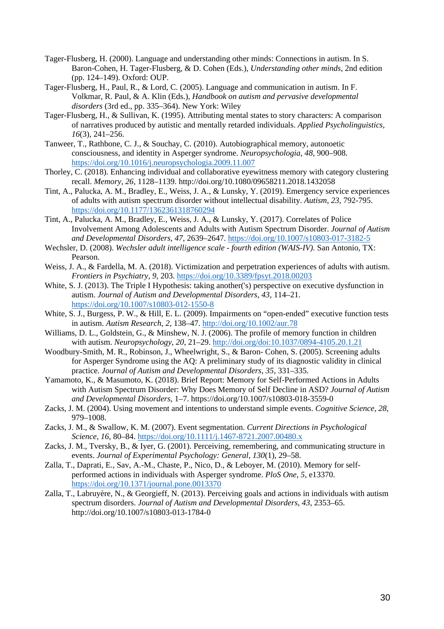- Tager-Flusberg, H. (2000). Language and understanding other minds: Connections in autism. In S. Baron-Cohen, H. Tager-Flusberg, & D. Cohen (Eds.), *Understanding other minds*, 2nd edition (pp. 124–149). Oxford: OUP.
- Tager-Flusberg, H., Paul, R., & Lord, C. (2005). Language and communication in autism. In F. Volkmar, R. Paul, & A. Klin (Eds.), *Handbook on autism and pervasive developmental disorders* (3rd ed., pp. 335–364). New York: Wiley
- Tager-Flusberg, H., & Sullivan, K. (1995). Attributing mental states to story characters: A comparison of narratives produced by autistic and mentally retarded individuals. *Applied Psycholinguistics, 16*(3)*,* 241–256.
- Tanweer, T., Rathbone, C. J., & Souchay, C. (2010). Autobiographical memory, autonoetic consciousness, and identity in Asperger syndrome. *Neuropsychologia*, *48*, 900–908. <https://doi.org/10.1016/j.neuropsychologia.2009.11.007>
- Thorley, C. (2018). Enhancing individual and collaborative eyewitness memory with category clustering recall. *Memory*, *26*, 1128–1139. http://doi.org/10.1080/09658211.2018.1432058
- Tint, A., Palucka, A. M., Bradley, E., Weiss, J. A., & Lunsky, Y. (2019). Emergency service experiences of adults with autism spectrum disorder without intellectual disability. *Autism*, *23,* 792-795. [https://doi.org/10.1177/1362361318760294](https://doi.org/10.1177%2F1362361318760294)
- Tint, A., Palucka, A. M., Bradley, E., Weiss, J. A., & Lunsky, Y. (2017). Correlates of Police Involvement Among Adolescents and Adults with Autism Spectrum Disorder. *Journal of Autism and Developmental Disorders*, *47*, 2639–2647. <https://doi.org/10.1007/s10803-017-3182-5>
- Wechsler, D. (2008). *Wechsler adult intelligence scale fourth edition (WAIS-IV).* San Antonio, TX: Pearson.
- Weiss, J. A., & Fardella, M. A. (2018). Victimization and perpetration experiences of adults with autism. *Frontiers in Psychiatry*, *9*, 203.<https://doi.org/10.3389/fpsyt.2018.00203>
- White, S. J. (2013). The Triple I Hypothesis: taking another('s) perspective on executive dysfunction in autism. *Journal of Autism and Developmental Disorders*, *43*, 114–21. <https://doi.org/10.1007/s10803-012-1550-8>
- White, S. J., Burgess, P. W., & Hill, E. L. (2009). Impairments on "open-ended" executive function tests in autism. *Autism Research*, *2*, 138–47.<http://doi.org/10.1002/aur.78>
- Williams, D. L., Goldstein, G., & Minshew, N. J. (2006). The profile of memory function in children with autism. *Neuropsychology*, *20*, 21–29.<http://doi.org/doi:10.1037/0894-4105.20.1.21>
- Woodbury-Smith, M. R., Robinson, J., Wheelwright, S., & Baron- Cohen, S. (2005). Screening adults for Asperger Syndrome using the AQ: A preliminary study of its diagnostic validity in clinical practice*. Journal of Autism and Developmental Disorders, 35,* 331–335.
- Yamamoto, K., & Masumoto, K. (2018). Brief Report: Memory for Self-Performed Actions in Adults with Autism Spectrum Disorder: Why Does Memory of Self Decline in ASD? *Journal of Autism and Developmental Disorders*, 1–7. https://doi.org/10.1007/s10803-018-3559-0
- Zacks, J. M. (2004). Using movement and intentions to understand simple events. *Cognitive Science, 28,* 979–1008.
- Zacks, J. M., & Swallow, K. M. (2007). Event segmentation. *Current Directions in Psychological Science*, *16*, 80–84. <https://doi.org/10.1111/j.1467-8721.2007.00480.x>
- Zacks, J. M., Tversky, B., & Iyer, G. (2001). Perceiving, remembering, and communicating structure in events. *Journal of Experimental Psychology: General*, *130*(1), 29–58.
- Zalla, T., Daprati, E., Sav, A.-M., Chaste, P., Nico, D., & Leboyer, M. (2010). Memory for selfperformed actions in individuals with Asperger syndrome. *PloS One*, *5*, e13370. <https://doi.org/10.1371/journal.pone.0013370>
- Zalla, T., Labruyère, N., & Georgieff, N. (2013). Perceiving goals and actions in individuals with autism spectrum disorders. *Journal of Autism and Developmental Disorders*, *43*, 2353–65. http://doi.org/10.1007/s10803-013-1784-0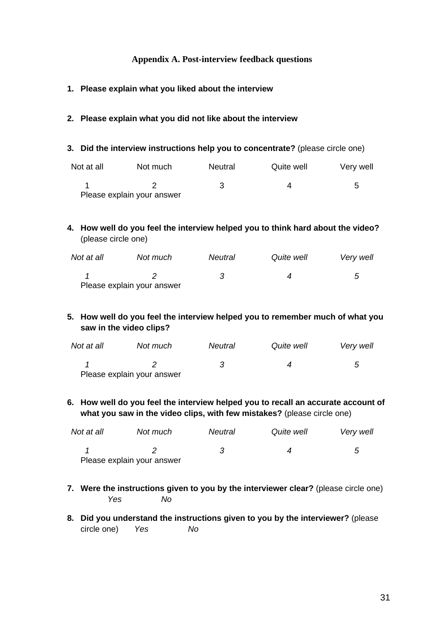# **Appendix A. Post-interview feedback questions**

**1. Please explain what you liked about the interview**

## **2. Please explain what you did not like about the interview**

**3. Did the interview instructions help you to concentrate?** (please circle one)

| Not at all | Not much                   | Neutral | Quite well | Very well |
|------------|----------------------------|---------|------------|-----------|
|            |                            |         |            | ь         |
|            | Please explain your answer |         |            |           |

**4. How well do you feel the interview helped you to think hard about the video?**  (please circle one)

| Not at all | Not much                   | Neutral | Quite well | Very well |
|------------|----------------------------|---------|------------|-----------|
|            |                            |         |            | ა         |
|            | Please explain your answer |         |            |           |

# **5. How well do you feel the interview helped you to remember much of what you saw in the video clips?**

| Not at all | Not much                   | Neutral | Quite well | Very well |
|------------|----------------------------|---------|------------|-----------|
|            |                            |         |            | ა         |
|            | Please explain your answer |         |            |           |

**6. How well do you feel the interview helped you to recall an accurate account of what you saw in the video clips, with few mistakes?** (please circle one)

| Not at all | Not much                   | Neutral | Quite well | Very well |
|------------|----------------------------|---------|------------|-----------|
|            |                            |         |            | ა         |
|            | Please explain your answer |         |            |           |

- **7. Were the instructions given to you by the interviewer clear?** (please circle one) *Yes No*
- **8. Did you understand the instructions given to you by the interviewer?** (please circle one) *Yes No*